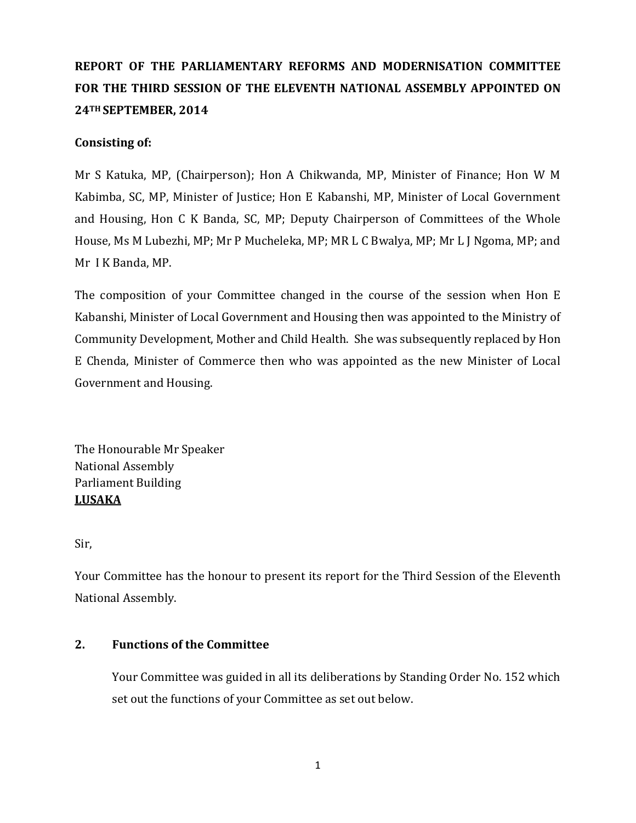# **REPORT OF THE PARLIAMENTARY REFORMS AND MODERNISATION COMMITTEE FOR THE THIRD SESSION OF THE ELEVENTH NATIONAL ASSEMBLY APPOINTED ON 24TH SEPTEMBER, 2014**

## **Consisting of:**

Mr S Katuka, MP, (Chairperson); Hon A Chikwanda, MP, Minister of Finance; Hon W M Kabimba, SC, MP, Minister of Justice; Hon E Kabanshi, MP, Minister of Local Government and Housing, Hon C K Banda, SC, MP; Deputy Chairperson of Committees of the Whole House, Ms M Lubezhi, MP; Mr P Mucheleka, MP; MR L C Bwalya, MP; Mr L J Ngoma, MP; and Mr I K Banda, MP.

The composition of your Committee changed in the course of the session when Hon E Kabanshi, Minister of Local Government and Housing then was appointed to the Ministry of Community Development, Mother and Child Health. She was subsequently replaced by Hon E Chenda, Minister of Commerce then who was appointed as the new Minister of Local Government and Housing.

The Honourable Mr Speaker National Assembly Parliament Building **LUSAKA**

Sir,

Your Committee has the honour to present its report for the Third Session of the Eleventh National Assembly.

## **2. Functions of the Committee**

Your Committee was guided in all its deliberations by Standing Order No. 152 which set out the functions of your Committee as set out below.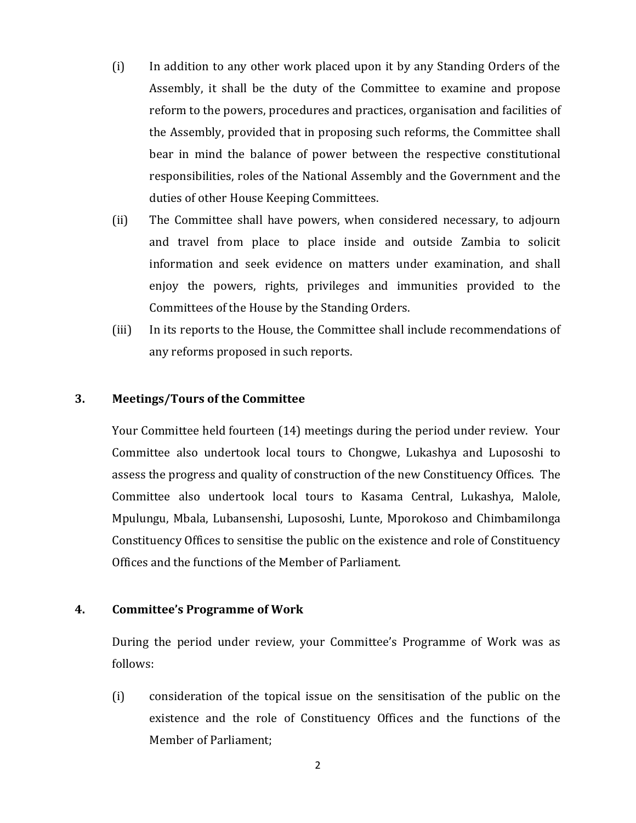- (i) In addition to any other work placed upon it by any Standing Orders of the Assembly, it shall be the duty of the Committee to examine and propose reform to the powers, procedures and practices, organisation and facilities of the Assembly, provided that in proposing such reforms, the Committee shall bear in mind the balance of power between the respective constitutional responsibilities, roles of the National Assembly and the Government and the duties of other House Keeping Committees.
- (ii) The Committee shall have powers, when considered necessary, to adjourn and travel from place to place inside and outside Zambia to solicit information and seek evidence on matters under examination, and shall enjoy the powers, rights, privileges and immunities provided to the Committees of the House by the Standing Orders.
- (iii) In its reports to the House, the Committee shall include recommendations of any reforms proposed in such reports.

## **3. Meetings/Tours of the Committee**

Your Committee held fourteen (14) meetings during the period under review. Your Committee also undertook local tours to Chongwe, Lukashya and Lupososhi to assess the progress and quality of construction of the new Constituency Offices. The Committee also undertook local tours to Kasama Central, Lukashya, Malole, Mpulungu, Mbala, Lubansenshi, Lupososhi, Lunte, Mporokoso and Chimbamilonga Constituency Offices to sensitise the public on the existence and role of Constituency Offices and the functions of the Member of Parliament.

## **4. Committee's Programme of Work**

During the period under review, your Committee's Programme of Work was as follows:

(i) consideration of the topical issue on the sensitisation of the public on the existence and the role of Constituency Offices and the functions of the Member of Parliament;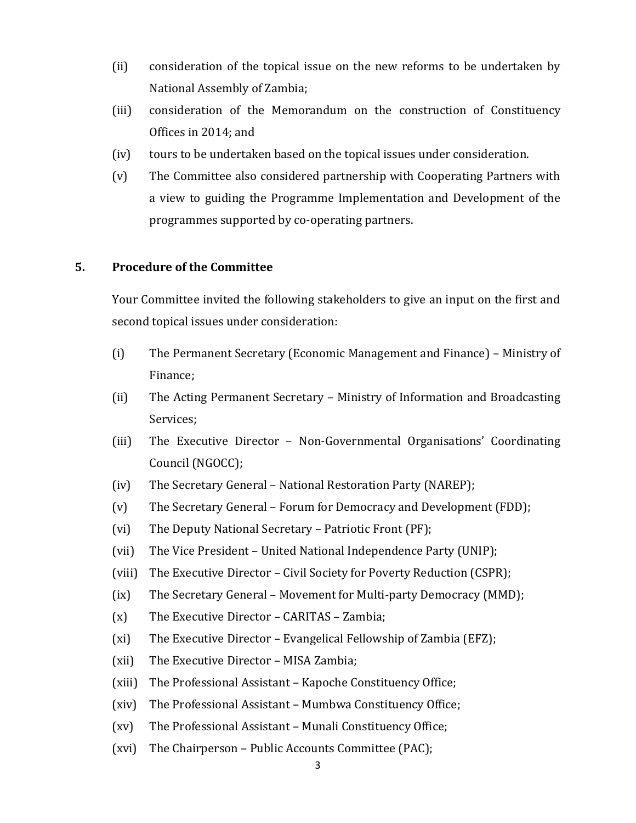- (ii) consideration of the topical issue on the new reforms to be undertaken by National Assembly of Zambia;
- (iii) consideration of the Memorandum on the construction of Constituency Offices in 2014; and
- (iv) tours to be undertaken based on the topical issues under consideration.
- (v) The Committee also considered partnership with Cooperating Partners with a view to guiding the Programme Implementation and Development of the programmes supported by co-operating partners.

## **5. Procedure of the Committee**

Your Committee invited the following stakeholders to give an input on the first and second topical issues under consideration:

- (i) The Permanent Secretary (Economic Management and Finance) Ministry of Finance;
- (ii) The Acting Permanent Secretary Ministry of Information and Broadcasting Services;
- (iii) The Executive Director Non-Governmental Organisations' Coordinating Council (NGOCC);
- (iv) The Secretary General National Restoration Party (NAREP);
- (v) The Secretary General Forum for Democracy and Development (FDD);
- (vi) The Deputy National Secretary Patriotic Front (PF);
- (vii) The Vice President United National Independence Party (UNIP);
- (viii) The Executive Director Civil Society for Poverty Reduction (CSPR);
- (ix) The Secretary General Movement for Multi-party Democracy (MMD);
- (x) The Executive Director CARITAS Zambia;
- (xi) The Executive Director Evangelical Fellowship of Zambia (EFZ);
- (xii) The Executive Director MISA Zambia;
- (xiii) The Professional Assistant Kapoche Constituency Office;
- (xiv) The Professional Assistant Mumbwa Constituency Office;
- (xv) The Professional Assistant Munali Constituency Office;
- (xvi) The Chairperson Public Accounts Committee (PAC);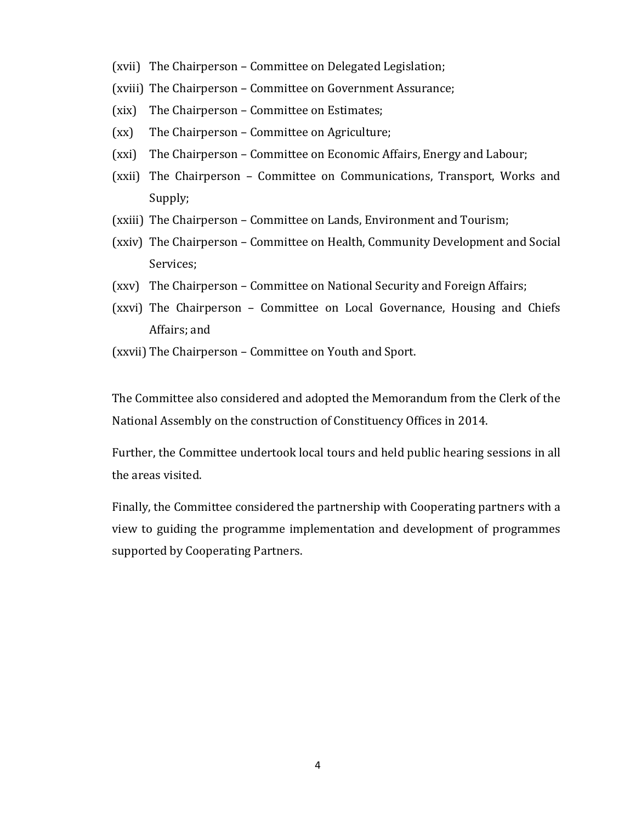- (xvii) The Chairperson Committee on Delegated Legislation;
- (xviii) The Chairperson Committee on Government Assurance;
- (xix) The Chairperson Committee on Estimates;
- (xx) The Chairperson Committee on Agriculture;
- (xxi) The Chairperson Committee on Economic Affairs, Energy and Labour;
- (xxii) The Chairperson Committee on Communications, Transport, Works and Supply;
- (xxiii) The Chairperson Committee on Lands, Environment and Tourism;
- (xxiv) The Chairperson Committee on Health, Community Development and Social Services;
- (xxv) The Chairperson Committee on National Security and Foreign Affairs;
- (xxvi) The Chairperson Committee on Local Governance, Housing and Chiefs Affairs; and
- (xxvii) The Chairperson Committee on Youth and Sport.

The Committee also considered and adopted the Memorandum from the Clerk of the National Assembly on the construction of Constituency Offices in 2014.

Further, the Committee undertook local tours and held public hearing sessions in all the areas visited.

Finally, the Committee considered the partnership with Cooperating partners with a view to guiding the programme implementation and development of programmes supported by Cooperating Partners.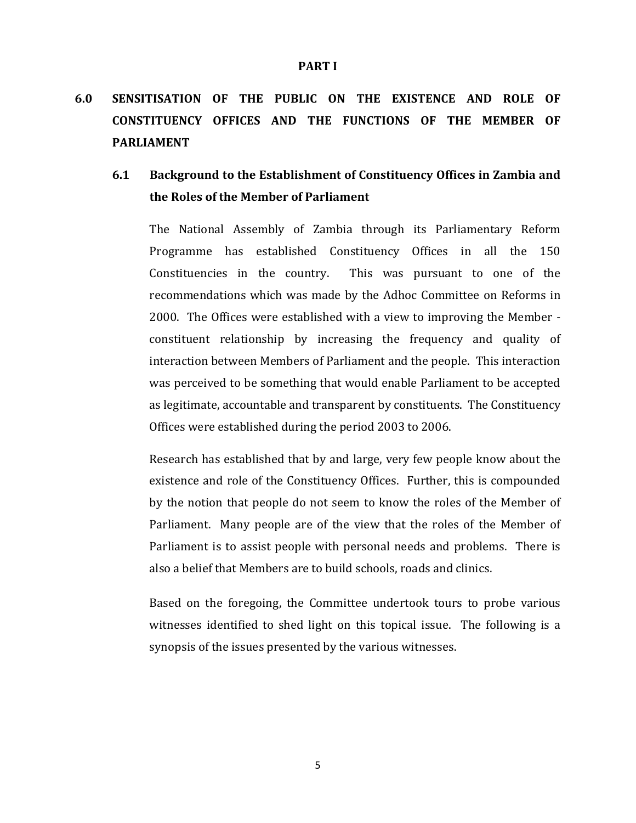# **6.0 SENSITISATION OF THE PUBLIC ON THE EXISTENCE AND ROLE OF CONSTITUENCY OFFICES AND THE FUNCTIONS OF THE MEMBER OF PARLIAMENT**

## **6.1 Background to the Establishment of Constituency Offices in Zambia and the Roles of the Member of Parliament**

The National Assembly of Zambia through its Parliamentary Reform Programme has established Constituency Offices in all the 150 Constituencies in the country. This was pursuant to one of the recommendations which was made by the Adhoc Committee on Reforms in 2000. The Offices were established with a view to improving the Member constituent relationship by increasing the frequency and quality of interaction between Members of Parliament and the people. This interaction was perceived to be something that would enable Parliament to be accepted as legitimate, accountable and transparent by constituents. The Constituency Offices were established during the period 2003 to 2006.

Research has established that by and large, very few people know about the existence and role of the Constituency Offices. Further, this is compounded by the notion that people do not seem to know the roles of the Member of Parliament. Many people are of the view that the roles of the Member of Parliament is to assist people with personal needs and problems. There is also a belief that Members are to build schools, roads and clinics.

Based on the foregoing, the Committee undertook tours to probe various witnesses identified to shed light on this topical issue. The following is a synopsis of the issues presented by the various witnesses.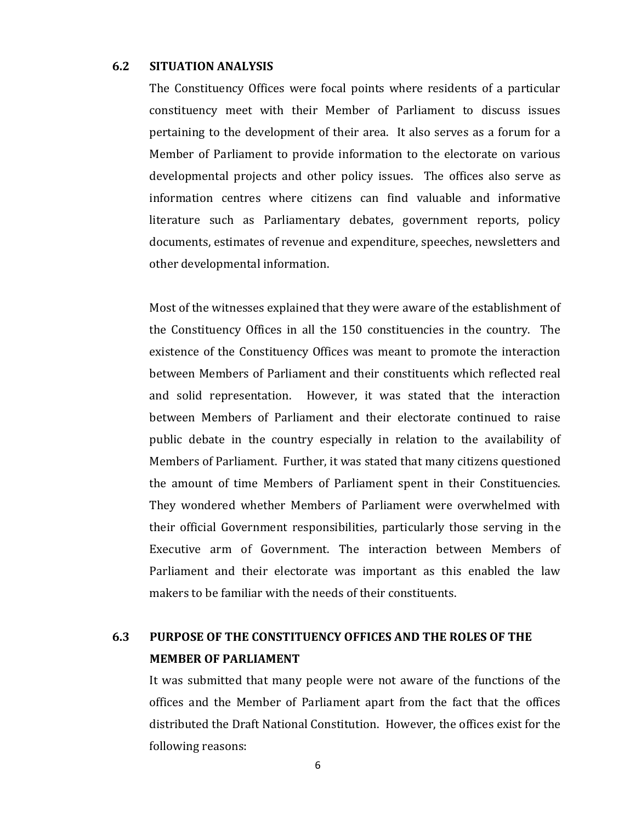#### **6.2 SITUATION ANALYSIS**

The Constituency Offices were focal points where residents of a particular constituency meet with their Member of Parliament to discuss issues pertaining to the development of their area. It also serves as a forum for a Member of Parliament to provide information to the electorate on various developmental projects and other policy issues. The offices also serve as information centres where citizens can find valuable and informative literature such as Parliamentary debates, government reports, policy documents, estimates of revenue and expenditure, speeches, newsletters and other developmental information.

Most of the witnesses explained that they were aware of the establishment of the Constituency Offices in all the 150 constituencies in the country. The existence of the Constituency Offices was meant to promote the interaction between Members of Parliament and their constituents which reflected real and solid representation. However, it was stated that the interaction between Members of Parliament and their electorate continued to raise public debate in the country especially in relation to the availability of Members of Parliament. Further, it was stated that many citizens questioned the amount of time Members of Parliament spent in their Constituencies. They wondered whether Members of Parliament were overwhelmed with their official Government responsibilities, particularly those serving in the Executive arm of Government. The interaction between Members of Parliament and their electorate was important as this enabled the law makers to be familiar with the needs of their constituents.

## **6.3 PURPOSE OF THE CONSTITUENCY OFFICES AND THE ROLES OF THE MEMBER OF PARLIAMENT**

It was submitted that many people were not aware of the functions of the offices and the Member of Parliament apart from the fact that the offices distributed the Draft National Constitution. However, the offices exist for the following reasons: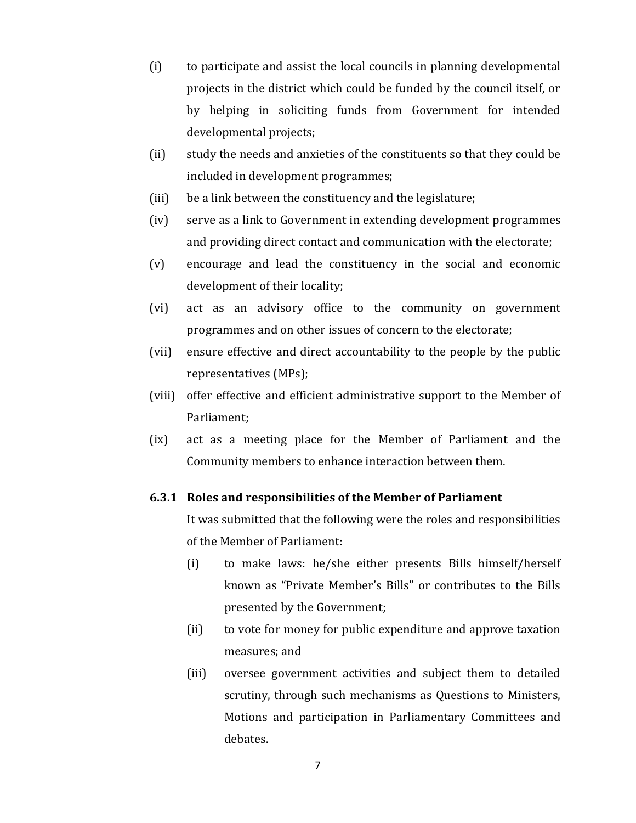- (i) to participate and assist the local councils in planning developmental projects in the district which could be funded by the council itself, or by helping in soliciting funds from Government for intended developmental projects;
- (ii) study the needs and anxieties of the constituents so that they could be included in development programmes;
- (iii) be a link between the constituency and the legislature;
- (iv) serve as a link to Government in extending development programmes and providing direct contact and communication with the electorate;
- (v) encourage and lead the constituency in the social and economic development of their locality;
- (vi) act as an advisory office to the community on government programmes and on other issues of concern to the electorate;
- (vii) ensure effective and direct accountability to the people by the public representatives (MPs);
- (viii) offer effective and efficient administrative support to the Member of Parliament;
- (ix) act as a meeting place for the Member of Parliament and the Community members to enhance interaction between them.

### **6.3.1 Roles and responsibilities of the Member of Parliament**

It was submitted that the following were the roles and responsibilities of the Member of Parliament:

- (i) to make laws: he/she either presents Bills himself/herself known as "Private Member's Bills" or contributes to the Bills presented by the Government;
- (ii) to vote for money for public expenditure and approve taxation measures; and
- (iii) oversee government activities and subject them to detailed scrutiny, through such mechanisms as Questions to Ministers, Motions and participation in Parliamentary Committees and debates.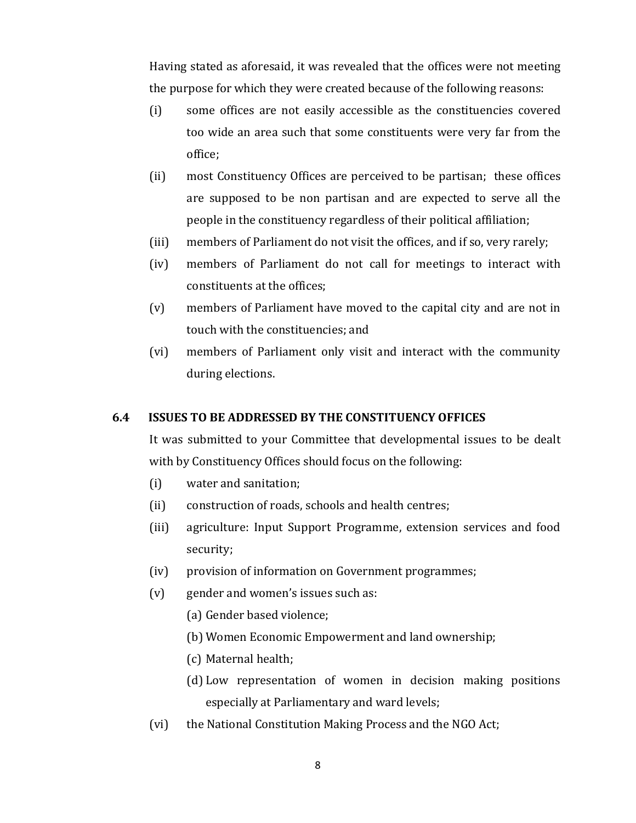Having stated as aforesaid, it was revealed that the offices were not meeting the purpose for which they were created because of the following reasons:

- (i) some offices are not easily accessible as the constituencies covered too wide an area such that some constituents were very far from the office;
- (ii) most Constituency Offices are perceived to be partisan; these offices are supposed to be non partisan and are expected to serve all the people in the constituency regardless of their political affiliation;
- (iii) members of Parliament do not visit the offices, and if so, very rarely;
- (iv) members of Parliament do not call for meetings to interact with constituents at the offices;
- (v) members of Parliament have moved to the capital city and are not in touch with the constituencies; and
- (vi) members of Parliament only visit and interact with the community during elections.

### **6.4 ISSUES TO BE ADDRESSED BY THE CONSTITUENCY OFFICES**

It was submitted to your Committee that developmental issues to be dealt with by Constituency Offices should focus on the following:

- (i) water and sanitation;
- (ii) construction of roads, schools and health centres;
- (iii) agriculture: Input Support Programme, extension services and food security;
- (iv) provision of information on Government programmes;
- (v) gender and women's issues such as:
	- (a) Gender based violence;
	- (b) Women Economic Empowerment and land ownership;
	- (c) Maternal health;
	- (d) Low representation of women in decision making positions especially at Parliamentary and ward levels;
- (vi) the National Constitution Making Process and the NGO Act;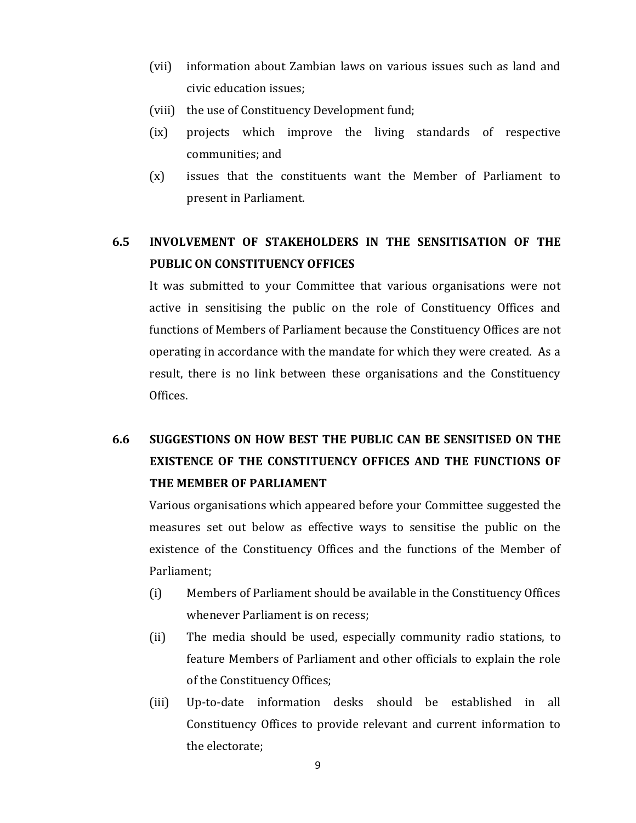- (vii) information about Zambian laws on various issues such as land and civic education issues;
- (viii) the use of Constituency Development fund;
- (ix) projects which improve the living standards of respective communities; and
- (x) issues that the constituents want the Member of Parliament to present in Parliament.

## **6.5 INVOLVEMENT OF STAKEHOLDERS IN THE SENSITISATION OF THE PUBLIC ON CONSTITUENCY OFFICES**

It was submitted to your Committee that various organisations were not active in sensitising the public on the role of Constituency Offices and functions of Members of Parliament because the Constituency Offices are not operating in accordance with the mandate for which they were created. As a result, there is no link between these organisations and the Constituency Offices.

# **6.6 SUGGESTIONS ON HOW BEST THE PUBLIC CAN BE SENSITISED ON THE EXISTENCE OF THE CONSTITUENCY OFFICES AND THE FUNCTIONS OF THE MEMBER OF PARLIAMENT**

Various organisations which appeared before your Committee suggested the measures set out below as effective ways to sensitise the public on the existence of the Constituency Offices and the functions of the Member of Parliament;

- (i) Members of Parliament should be available in the Constituency Offices whenever Parliament is on recess;
- (ii) The media should be used, especially community radio stations, to feature Members of Parliament and other officials to explain the role of the Constituency Offices;
- (iii) Up-to-date information desks should be established in all Constituency Offices to provide relevant and current information to the electorate;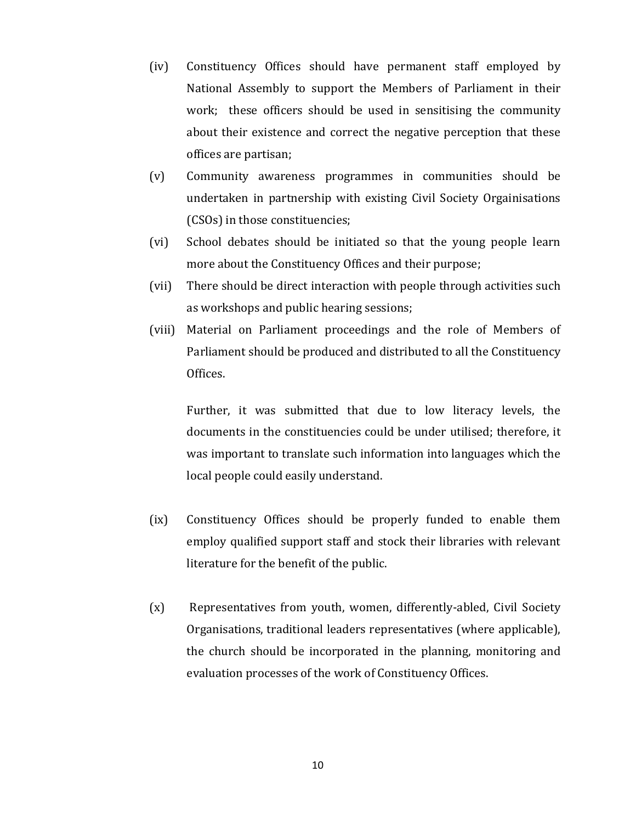- (iv) Constituency Offices should have permanent staff employed by National Assembly to support the Members of Parliament in their work; these officers should be used in sensitising the community about their existence and correct the negative perception that these offices are partisan;
- (v) Community awareness programmes in communities should be undertaken in partnership with existing Civil Society Orgainisations (CSOs) in those constituencies;
- (vi) School debates should be initiated so that the young people learn more about the Constituency Offices and their purpose;
- (vii) There should be direct interaction with people through activities such as workshops and public hearing sessions;
- (viii) Material on Parliament proceedings and the role of Members of Parliament should be produced and distributed to all the Constituency Offices.

Further, it was submitted that due to low literacy levels, the documents in the constituencies could be under utilised; therefore, it was important to translate such information into languages which the local people could easily understand.

- (ix) Constituency Offices should be properly funded to enable them employ qualified support staff and stock their libraries with relevant literature for the benefit of the public.
- (x) Representatives from youth, women, differently-abled, Civil Society Organisations, traditional leaders representatives (where applicable), the church should be incorporated in the planning, monitoring and evaluation processes of the work of Constituency Offices.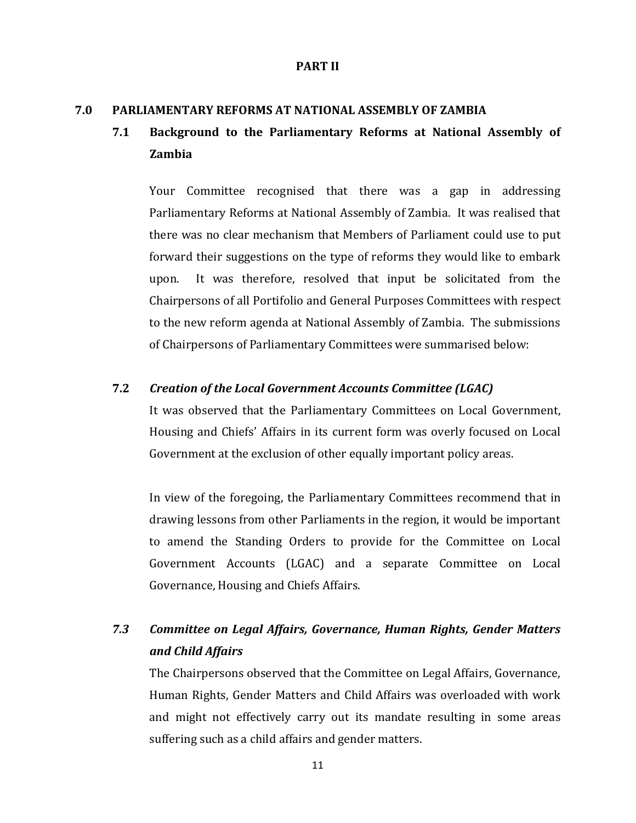#### **PART II**

#### **7.0 PARLIAMENTARY REFORMS AT NATIONAL ASSEMBLY OF ZAMBIA**

## **7.1 Background to the Parliamentary Reforms at National Assembly of Zambia**

Your Committee recognised that there was a gap in addressing Parliamentary Reforms at National Assembly of Zambia. It was realised that there was no clear mechanism that Members of Parliament could use to put forward their suggestions on the type of reforms they would like to embark upon. It was therefore, resolved that input be solicitated from the Chairpersons of all Portifolio and General Purposes Committees with respect to the new reform agenda at National Assembly of Zambia. The submissions of Chairpersons of Parliamentary Committees were summarised below:

#### **7.2** *Creation of the Local Government Accounts Committee (LGAC)*

It was observed that the Parliamentary Committees on Local Government, Housing and Chiefs' Affairs in its current form was overly focused on Local Government at the exclusion of other equally important policy areas.

In view of the foregoing, the Parliamentary Committees recommend that in drawing lessons from other Parliaments in the region, it would be important to amend the Standing Orders to provide for the Committee on Local Government Accounts (LGAC) and a separate Committee on Local Governance, Housing and Chiefs Affairs.

## *7.3 Committee on Legal Affairs, Governance, Human Rights, Gender Matters and Child Affairs*

The Chairpersons observed that the Committee on Legal Affairs, Governance, Human Rights, Gender Matters and Child Affairs was overloaded with work and might not effectively carry out its mandate resulting in some areas suffering such as a child affairs and gender matters.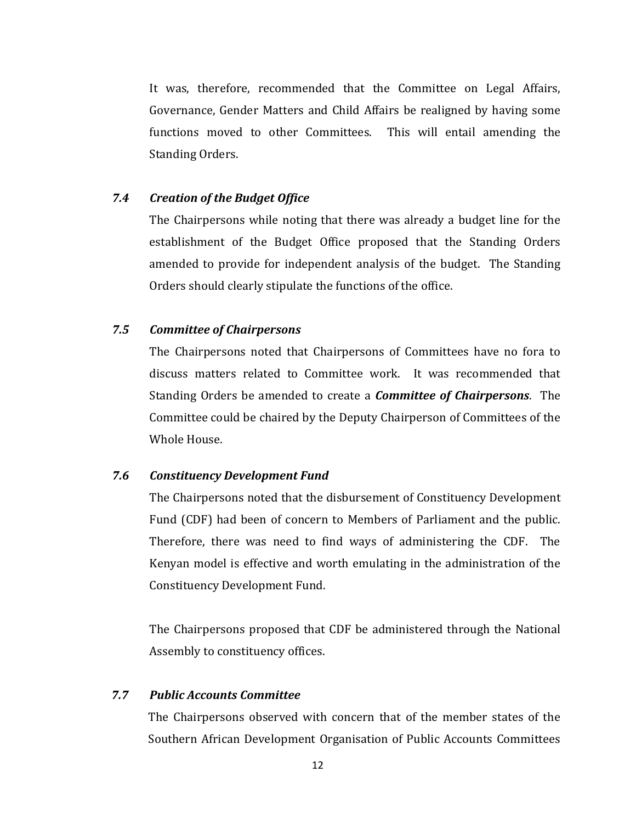It was, therefore, recommended that the Committee on Legal Affairs, Governance, Gender Matters and Child Affairs be realigned by having some functions moved to other Committees. This will entail amending the Standing Orders.

### *7.4 Creation of the Budget Office*

The Chairpersons while noting that there was already a budget line for the establishment of the Budget Office proposed that the Standing Orders amended to provide for independent analysis of the budget. The Standing Orders should clearly stipulate the functions of the office.

### *7.5 Committee of Chairpersons*

The Chairpersons noted that Chairpersons of Committees have no fora to discuss matters related to Committee work. It was recommended that Standing Orders be amended to create a *Committee of Chairpersons*. The Committee could be chaired by the Deputy Chairperson of Committees of the Whole House.

#### *7.6 Constituency Development Fund*

The Chairpersons noted that the disbursement of Constituency Development Fund (CDF) had been of concern to Members of Parliament and the public. Therefore, there was need to find ways of administering the CDF. The Kenyan model is effective and worth emulating in the administration of the Constituency Development Fund.

The Chairpersons proposed that CDF be administered through the National Assembly to constituency offices.

### *7.7 Public Accounts Committee*

The Chairpersons observed with concern that of the member states of the Southern African Development Organisation of Public Accounts Committees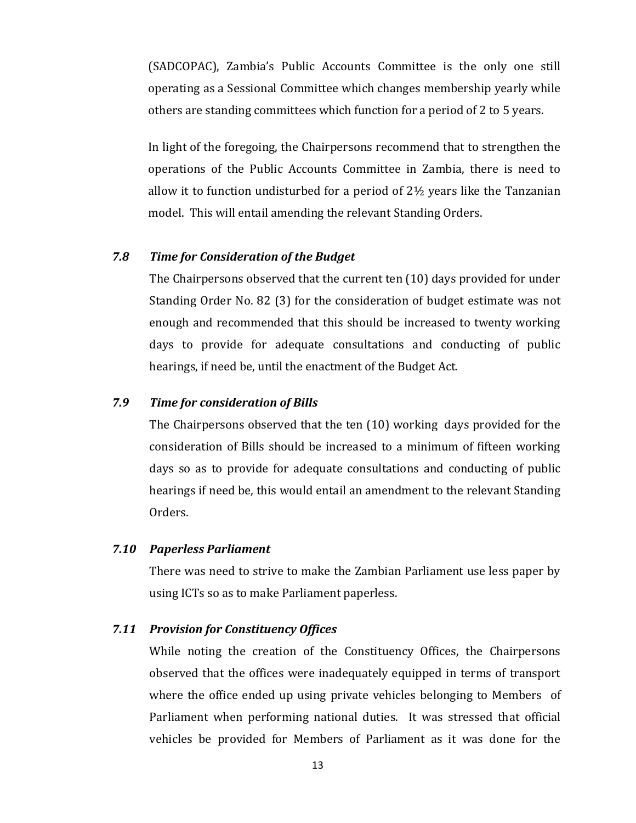(SADCOPAC), Zambia's Public Accounts Committee is the only one still operating as a Sessional Committee which changes membership yearly while others are standing committees which function for a period of 2 to 5 years.

In light of the foregoing, the Chairpersons recommend that to strengthen the operations of the Public Accounts Committee in Zambia, there is need to allow it to function undisturbed for a period of 2½ years like the Tanzanian model. This will entail amending the relevant Standing Orders.

### *7.8 Time for Consideration of the Budget*

The Chairpersons observed that the current ten (10) days provided for under Standing Order No. 82 (3) for the consideration of budget estimate was not enough and recommended that this should be increased to twenty working days to provide for adequate consultations and conducting of public hearings, if need be, until the enactment of the Budget Act.

## *7.9 Time for consideration of Bills*

The Chairpersons observed that the ten (10) working days provided for the consideration of Bills should be increased to a minimum of fifteen working days so as to provide for adequate consultations and conducting of public hearings if need be, this would entail an amendment to the relevant Standing Orders.

#### *7.10 Paperless Parliament*

There was need to strive to make the Zambian Parliament use less paper by using ICTs so as to make Parliament paperless.

### *7.11 Provision for Constituency Offices*

While noting the creation of the Constituency Offices, the Chairpersons observed that the offices were inadequately equipped in terms of transport where the office ended up using private vehicles belonging to Members of Parliament when performing national duties. It was stressed that official vehicles be provided for Members of Parliament as it was done for the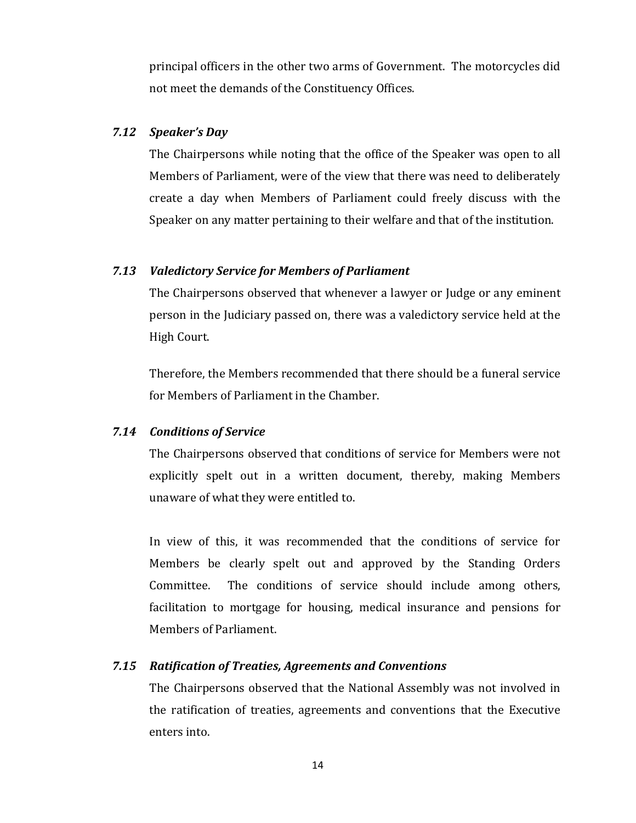principal officers in the other two arms of Government. The motorcycles did not meet the demands of the Constituency Offices.

#### *7.12 Speaker's Day*

The Chairpersons while noting that the office of the Speaker was open to all Members of Parliament, were of the view that there was need to deliberately create a day when Members of Parliament could freely discuss with the Speaker on any matter pertaining to their welfare and that of the institution.

#### *7.13 Valedictory Service for Members of Parliament*

The Chairpersons observed that whenever a lawyer or Judge or any eminent person in the Judiciary passed on, there was a valedictory service held at the High Court.

Therefore, the Members recommended that there should be a funeral service for Members of Parliament in the Chamber.

#### *7.14 Conditions of Service*

The Chairpersons observed that conditions of service for Members were not explicitly spelt out in a written document, thereby, making Members unaware of what they were entitled to.

In view of this, it was recommended that the conditions of service for Members be clearly spelt out and approved by the Standing Orders Committee. The conditions of service should include among others, facilitation to mortgage for housing, medical insurance and pensions for Members of Parliament.

#### *7.15 Ratification of Treaties, Agreements and Conventions*

The Chairpersons observed that the National Assembly was not involved in the ratification of treaties, agreements and conventions that the Executive enters into.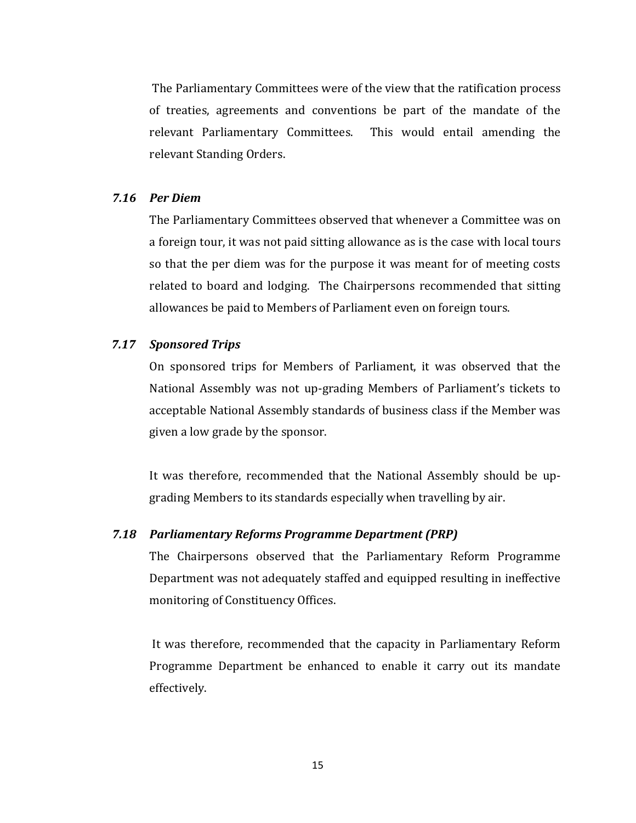The Parliamentary Committees were of the view that the ratification process of treaties, agreements and conventions be part of the mandate of the relevant Parliamentary Committees. This would entail amending the relevant Standing Orders.

#### *7.16 Per Diem*

The Parliamentary Committees observed that whenever a Committee was on a foreign tour, it was not paid sitting allowance as is the case with local tours so that the per diem was for the purpose it was meant for of meeting costs related to board and lodging. The Chairpersons recommended that sitting allowances be paid to Members of Parliament even on foreign tours.

### *7.17 Sponsored Trips*

On sponsored trips for Members of Parliament, it was observed that the National Assembly was not up-grading Members of Parliament's tickets to acceptable National Assembly standards of business class if the Member was given a low grade by the sponsor.

It was therefore, recommended that the National Assembly should be upgrading Members to its standards especially when travelling by air.

### *7.18 Parliamentary Reforms Programme Department (PRP)*

The Chairpersons observed that the Parliamentary Reform Programme Department was not adequately staffed and equipped resulting in ineffective monitoring of Constituency Offices.

It was therefore, recommended that the capacity in Parliamentary Reform Programme Department be enhanced to enable it carry out its mandate effectively.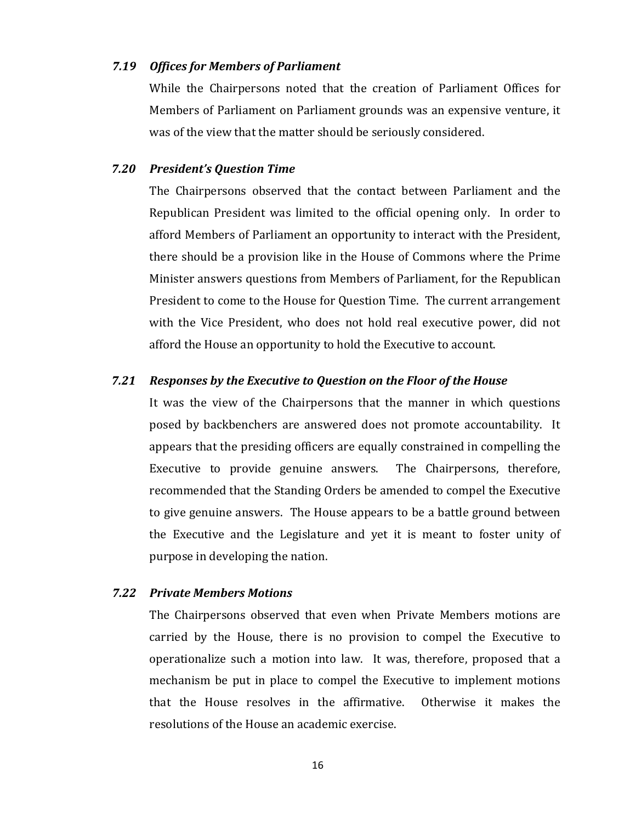#### *7.19 Offices for Members of Parliament*

While the Chairpersons noted that the creation of Parliament Offices for Members of Parliament on Parliament grounds was an expensive venture, it was of the view that the matter should be seriously considered.

#### *7.20 President's Question Time*

The Chairpersons observed that the contact between Parliament and the Republican President was limited to the official opening only. In order to afford Members of Parliament an opportunity to interact with the President, there should be a provision like in the House of Commons where the Prime Minister answers questions from Members of Parliament, for the Republican President to come to the House for Question Time. The current arrangement with the Vice President, who does not hold real executive power, did not afford the House an opportunity to hold the Executive to account.

#### *7.21 Responses by the Executive to Question on the Floor of the House*

It was the view of the Chairpersons that the manner in which questions posed by backbenchers are answered does not promote accountability. It appears that the presiding officers are equally constrained in compelling the Executive to provide genuine answers. The Chairpersons, therefore, recommended that the Standing Orders be amended to compel the Executive to give genuine answers. The House appears to be a battle ground between the Executive and the Legislature and yet it is meant to foster unity of purpose in developing the nation.

#### *7.22 Private Members Motions*

The Chairpersons observed that even when Private Members motions are carried by the House, there is no provision to compel the Executive to operationalize such a motion into law. It was, therefore, proposed that a mechanism be put in place to compel the Executive to implement motions that the House resolves in the affirmative. Otherwise it makes the resolutions of the House an academic exercise.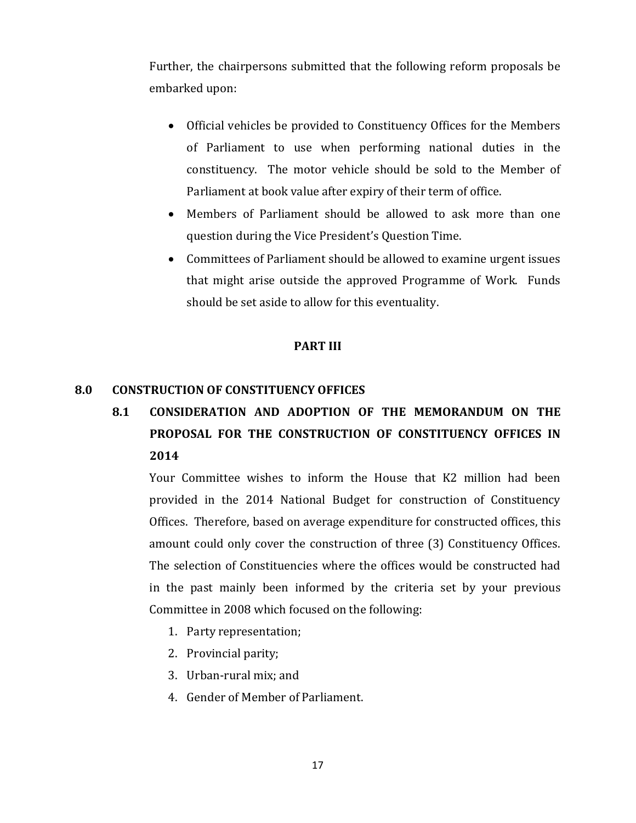Further, the chairpersons submitted that the following reform proposals be embarked upon:

- Official vehicles be provided to Constituency Offices for the Members of Parliament to use when performing national duties in the constituency. The motor vehicle should be sold to the Member of Parliament at book value after expiry of their term of office.
- Members of Parliament should be allowed to ask more than one question during the Vice President's Question Time.
- Committees of Parliament should be allowed to examine urgent issues that might arise outside the approved Programme of Work. Funds should be set aside to allow for this eventuality.

## **PART III**

## **8.0 CONSTRUCTION OF CONSTITUENCY OFFICES**

**8.1 CONSIDERATION AND ADOPTION OF THE MEMORANDUM ON THE PROPOSAL FOR THE CONSTRUCTION OF CONSTITUENCY OFFICES IN 2014**

Your Committee wishes to inform the House that K2 million had been provided in the 2014 National Budget for construction of Constituency Offices. Therefore, based on average expenditure for constructed offices, this amount could only cover the construction of three (3) Constituency Offices. The selection of Constituencies where the offices would be constructed had in the past mainly been informed by the criteria set by your previous Committee in 2008 which focused on the following:

- 1. Party representation;
- 2. Provincial parity;
- 3. Urban-rural mix; and
- 4. Gender of Member of Parliament.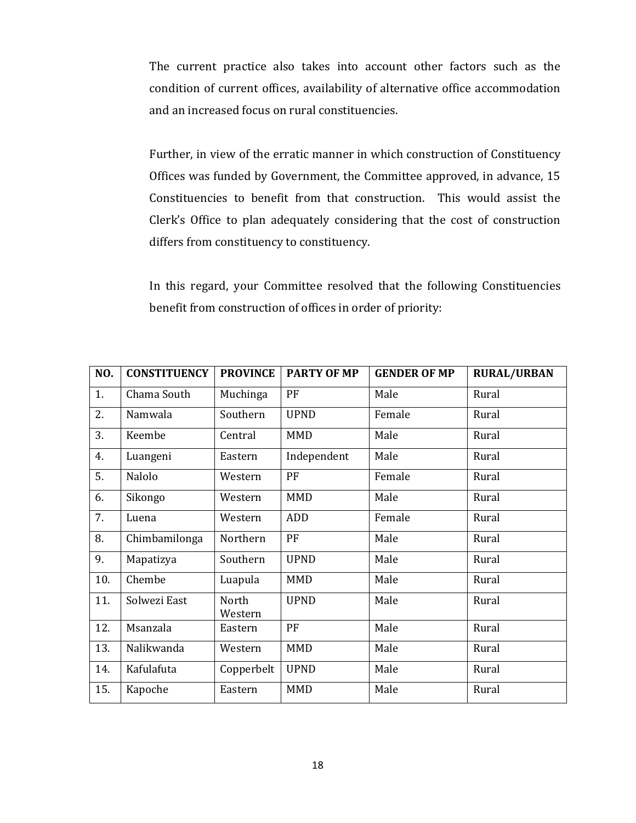The current practice also takes into account other factors such as the condition of current offices, availability of alternative office accommodation and an increased focus on rural constituencies.

Further, in view of the erratic manner in which construction of Constituency Offices was funded by Government, the Committee approved, in advance, 15 Constituencies to benefit from that construction. This would assist the Clerk's Office to plan adequately considering that the cost of construction differs from constituency to constituency.

In this regard, your Committee resolved that the following Constituencies benefit from construction of offices in order of priority:

| NO. | <b>CONSTITUENCY</b> | <b>PROVINCE</b>  | <b>PARTY OF MP</b> | <b>GENDER OF MP</b> | <b>RURAL/URBAN</b> |
|-----|---------------------|------------------|--------------------|---------------------|--------------------|
| 1.  | Chama South         | Muchinga         | PF                 | Male                | Rural              |
| 2.  | Namwala             | Southern         | <b>UPND</b>        | Female              | Rural              |
| 3.  | Keembe              | Central          | <b>MMD</b>         | Male                | Rural              |
| 4.  | Luangeni            | Eastern          | Independent        | Male                | Rural              |
| 5.  | Nalolo              | Western          | PF                 | Female              | Rural              |
| 6.  | Sikongo             | Western          | <b>MMD</b>         | Male                | Rural              |
| 7.  | Luena               | Western          | <b>ADD</b>         | Female              | Rural              |
| 8.  | Chimbamilonga       | Northern         | PF                 | Male                | Rural              |
| 9.  | Mapatizya           | Southern         | <b>UPND</b>        | Male                | Rural              |
| 10. | Chembe              | Luapula          | <b>MMD</b>         | Male                | Rural              |
| 11. | Solwezi East        | North<br>Western | <b>UPND</b>        | Male                | Rural              |
| 12. | Msanzala            | Eastern          | PF                 | Male                | Rural              |
| 13. | Nalikwanda          | Western          | <b>MMD</b>         | Male                | Rural              |
| 14. | Kafulafuta          | Copperbelt       | <b>UPND</b>        | Male                | Rural              |
| 15. | Kapoche             | Eastern          | <b>MMD</b>         | Male                | Rural              |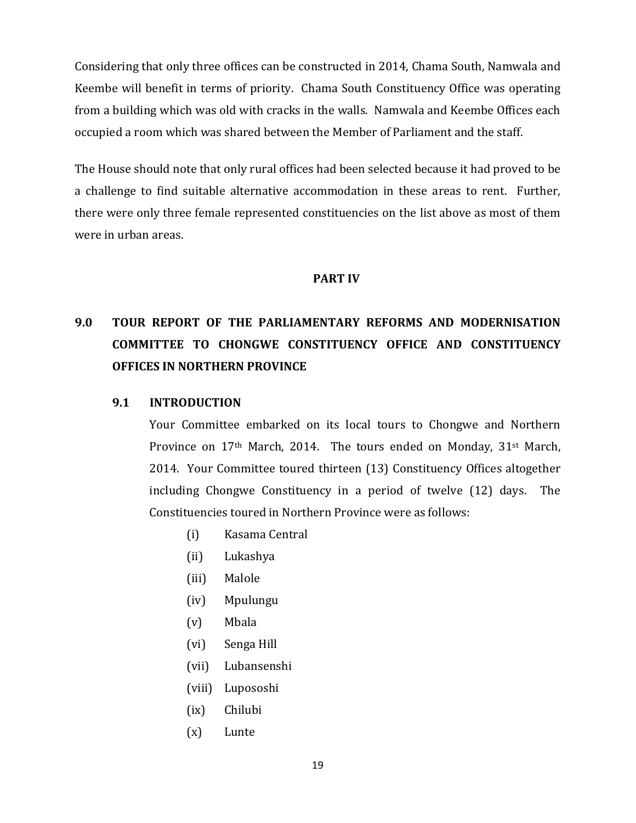Considering that only three offices can be constructed in 2014, Chama South, Namwala and Keembe will benefit in terms of priority. Chama South Constituency Office was operating from a building which was old with cracks in the walls. Namwala and Keembe Offices each occupied a room which was shared between the Member of Parliament and the staff.

The House should note that only rural offices had been selected because it had proved to be a challenge to find suitable alternative accommodation in these areas to rent. Further, there were only three female represented constituencies on the list above as most of them were in urban areas.

## **PART IV**

# **9.0 TOUR REPORT OF THE PARLIAMENTARY REFORMS AND MODERNISATION COMMITTEE TO CHONGWE CONSTITUENCY OFFICE AND CONSTITUENCY OFFICES IN NORTHERN PROVINCE**

### **9.1 INTRODUCTION**

Your Committee embarked on its local tours to Chongwe and Northern Province on 17<sup>th</sup> March, 2014. The tours ended on Monday, 31<sup>st</sup> March, 2014. Your Committee toured thirteen (13) Constituency Offices altogether including Chongwe Constituency in a period of twelve (12) days. The Constituencies toured in Northern Province were as follows:

- (i) Kasama Central
- (ii) Lukashya
- (iii) Malole
- (iv) Mpulungu
- (v) Mbala
- (vi) Senga Hill
- (vii) Lubansenshi
- (viii) Lupososhi
- (ix) Chilubi
- (x) Lunte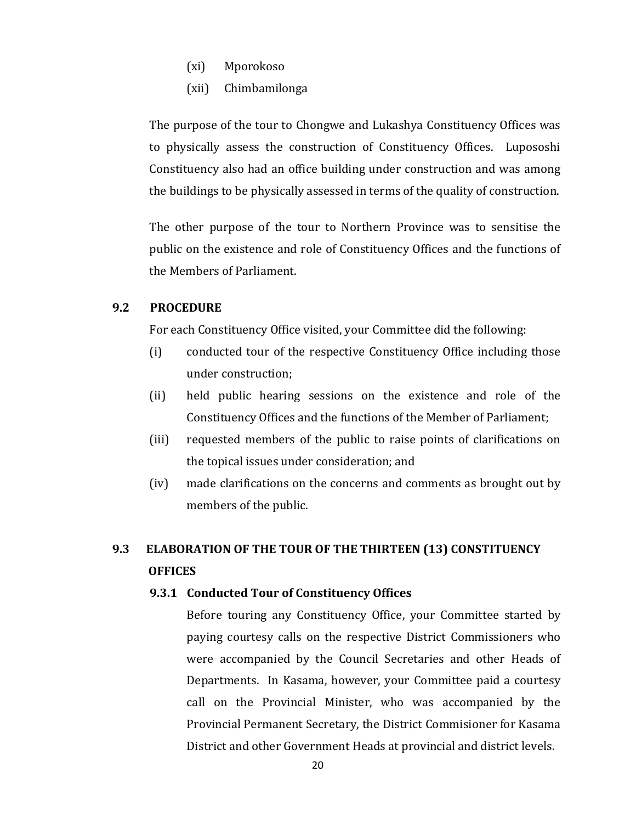- (xi) Mporokoso
- (xii) Chimbamilonga

The purpose of the tour to Chongwe and Lukashya Constituency Offices was to physically assess the construction of Constituency Offices. Lupososhi Constituency also had an office building under construction and was among the buildings to be physically assessed in terms of the quality of construction.

The other purpose of the tour to Northern Province was to sensitise the public on the existence and role of Constituency Offices and the functions of the Members of Parliament.

#### **9.2 PROCEDURE**

For each Constituency Office visited, your Committee did the following:

- (i) conducted tour of the respective Constituency Office including those under construction;
- (ii) held public hearing sessions on the existence and role of the Constituency Offices and the functions of the Member of Parliament;
- (iii) requested members of the public to raise points of clarifications on the topical issues under consideration; and
- (iv) made clarifications on the concerns and comments as brought out by members of the public.

## **9.3 ELABORATION OF THE TOUR OF THE THIRTEEN (13) CONSTITUENCY OFFICES**

#### **9.3.1 Conducted Tour of Constituency Offices**

Before touring any Constituency Office, your Committee started by paying courtesy calls on the respective District Commissioners who were accompanied by the Council Secretaries and other Heads of Departments. In Kasama, however, your Committee paid a courtesy call on the Provincial Minister, who was accompanied by the Provincial Permanent Secretary, the District Commisioner for Kasama District and other Government Heads at provincial and district levels.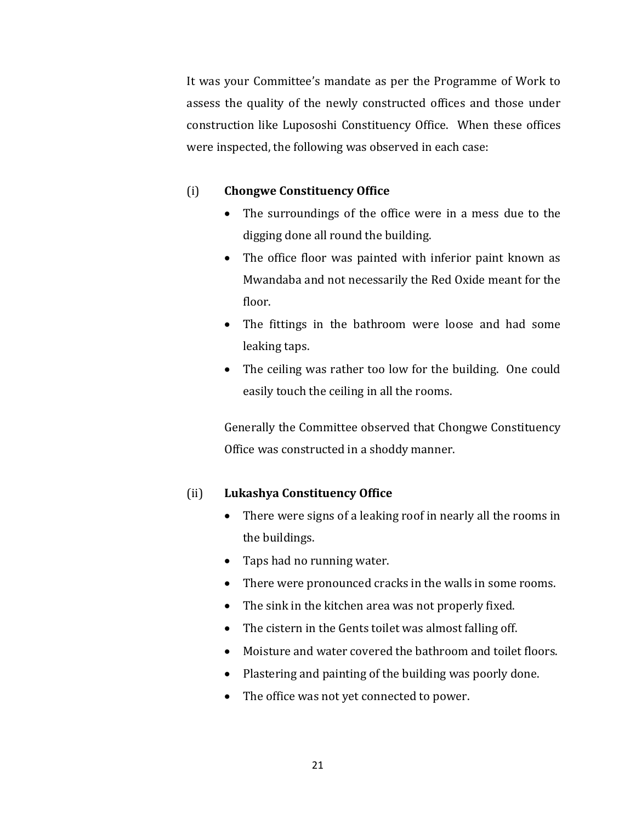It was your Committee's mandate as per the Programme of Work to assess the quality of the newly constructed offices and those under construction like Lupososhi Constituency Office. When these offices were inspected, the following was observed in each case:

## (i) **Chongwe Constituency Office**

- The surroundings of the office were in a mess due to the digging done all round the building.
- The office floor was painted with inferior paint known as Mwandaba and not necessarily the Red Oxide meant for the floor.
- The fittings in the bathroom were loose and had some leaking taps.
- The ceiling was rather too low for the building. One could easily touch the ceiling in all the rooms.

Generally the Committee observed that Chongwe Constituency Office was constructed in a shoddy manner.

## (ii) **Lukashya Constituency Office**

- There were signs of a leaking roof in nearly all the rooms in the buildings.
- Taps had no running water.
- There were pronounced cracks in the walls in some rooms.
- The sink in the kitchen area was not properly fixed.
- The cistern in the Gents toilet was almost falling off.
- Moisture and water covered the bathroom and toilet floors.
- Plastering and painting of the building was poorly done.
- The office was not yet connected to power.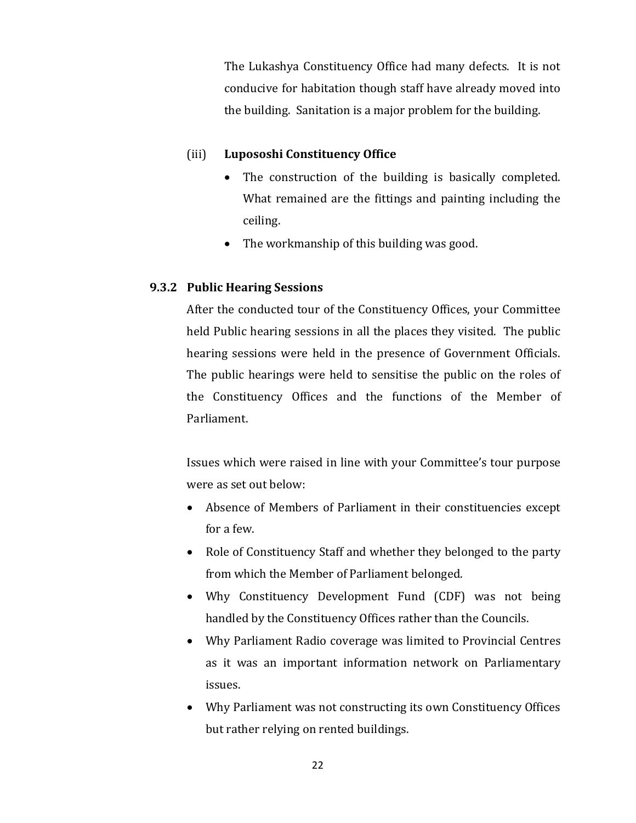The Lukashya Constituency Office had many defects. It is not conducive for habitation though staff have already moved into the building. Sanitation is a major problem for the building.

## (iii) **Lupososhi Constituency Office**

- The construction of the building is basically completed. What remained are the fittings and painting including the ceiling.
- The workmanship of this building was good.

## **9.3.2 Public Hearing Sessions**

After the conducted tour of the Constituency Offices, your Committee held Public hearing sessions in all the places they visited. The public hearing sessions were held in the presence of Government Officials. The public hearings were held to sensitise the public on the roles of the Constituency Offices and the functions of the Member of Parliament.

Issues which were raised in line with your Committee's tour purpose were as set out below:

- Absence of Members of Parliament in their constituencies except for a few.
- Role of Constituency Staff and whether they belonged to the party from which the Member of Parliament belonged.
- Why Constituency Development Fund (CDF) was not being handled by the Constituency Offices rather than the Councils.
- Why Parliament Radio coverage was limited to Provincial Centres as it was an important information network on Parliamentary issues.
- Why Parliament was not constructing its own Constituency Offices but rather relying on rented buildings.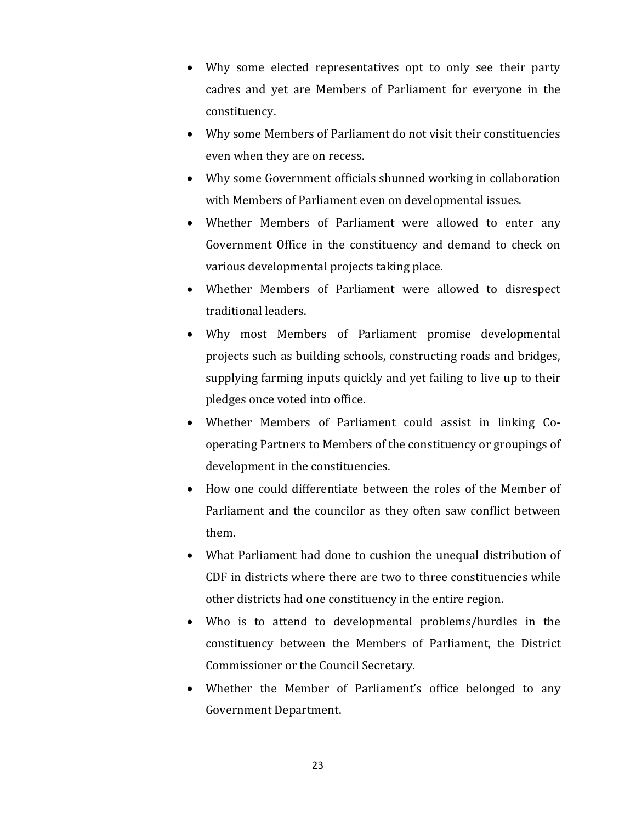- Why some elected representatives opt to only see their party cadres and yet are Members of Parliament for everyone in the constituency.
- Why some Members of Parliament do not visit their constituencies even when they are on recess.
- Why some Government officials shunned working in collaboration with Members of Parliament even on developmental issues.
- Whether Members of Parliament were allowed to enter any Government Office in the constituency and demand to check on various developmental projects taking place.
- Whether Members of Parliament were allowed to disrespect traditional leaders.
- Why most Members of Parliament promise developmental projects such as building schools, constructing roads and bridges, supplying farming inputs quickly and yet failing to live up to their pledges once voted into office.
- Whether Members of Parliament could assist in linking Cooperating Partners to Members of the constituency or groupings of development in the constituencies.
- How one could differentiate between the roles of the Member of Parliament and the councilor as they often saw conflict between them.
- What Parliament had done to cushion the unequal distribution of CDF in districts where there are two to three constituencies while other districts had one constituency in the entire region.
- Who is to attend to developmental problems/hurdles in the constituency between the Members of Parliament, the District Commissioner or the Council Secretary.
- Whether the Member of Parliament's office belonged to any Government Department.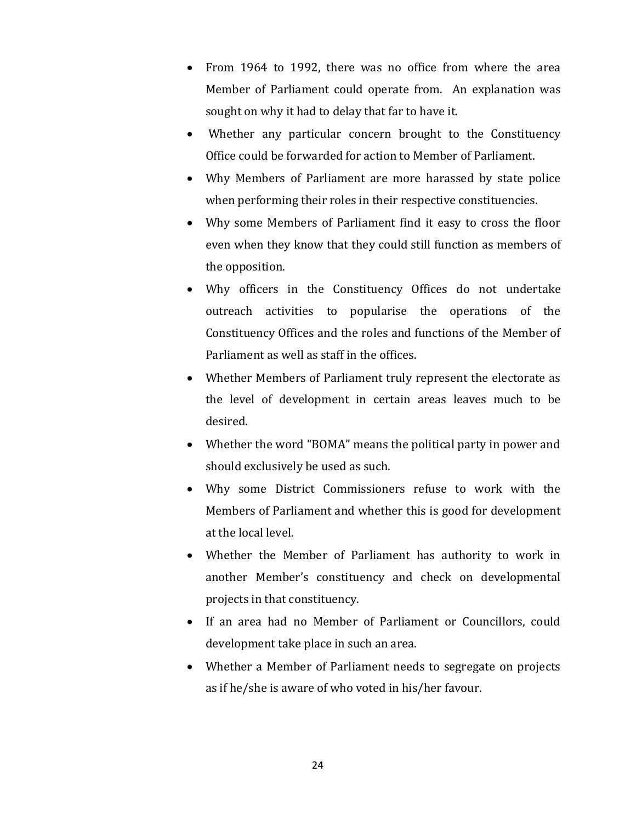- From 1964 to 1992, there was no office from where the area Member of Parliament could operate from. An explanation was sought on why it had to delay that far to have it.
- Whether any particular concern brought to the Constituency Office could be forwarded for action to Member of Parliament.
- Why Members of Parliament are more harassed by state police when performing their roles in their respective constituencies.
- Why some Members of Parliament find it easy to cross the floor even when they know that they could still function as members of the opposition.
- Why officers in the Constituency Offices do not undertake outreach activities to popularise the operations of the Constituency Offices and the roles and functions of the Member of Parliament as well as staff in the offices.
- Whether Members of Parliament truly represent the electorate as the level of development in certain areas leaves much to be desired.
- Whether the word "BOMA" means the political party in power and should exclusively be used as such.
- Why some District Commissioners refuse to work with the Members of Parliament and whether this is good for development at the local level.
- Whether the Member of Parliament has authority to work in another Member's constituency and check on developmental projects in that constituency.
- If an area had no Member of Parliament or Councillors, could development take place in such an area.
- Whether a Member of Parliament needs to segregate on projects as if he/she is aware of who voted in his/her favour.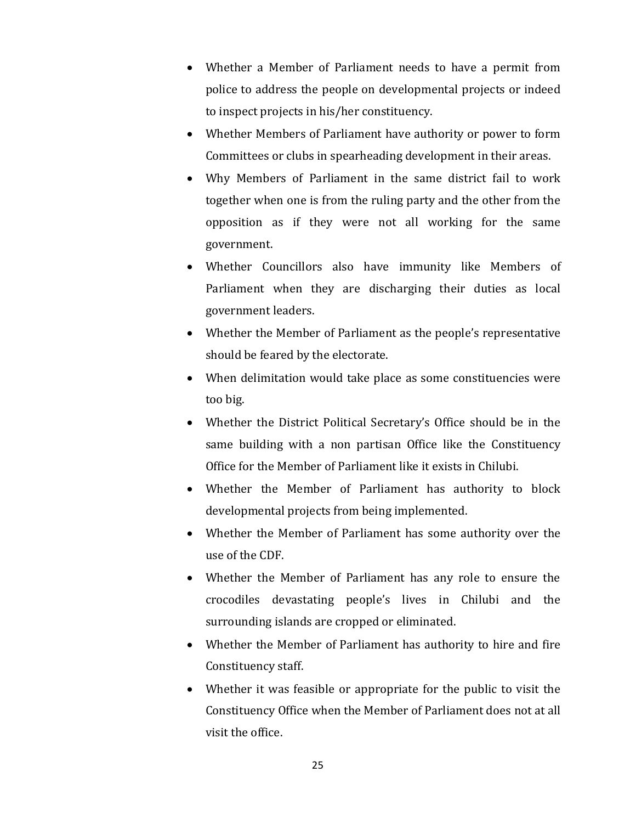- Whether a Member of Parliament needs to have a permit from police to address the people on developmental projects or indeed to inspect projects in his/her constituency.
- Whether Members of Parliament have authority or power to form Committees or clubs in spearheading development in their areas.
- Why Members of Parliament in the same district fail to work together when one is from the ruling party and the other from the opposition as if they were not all working for the same government.
- Whether Councillors also have immunity like Members of Parliament when they are discharging their duties as local government leaders.
- Whether the Member of Parliament as the people's representative should be feared by the electorate.
- When delimitation would take place as some constituencies were too big.
- Whether the District Political Secretary's Office should be in the same building with a non partisan Office like the Constituency Office for the Member of Parliament like it exists in Chilubi.
- Whether the Member of Parliament has authority to block developmental projects from being implemented.
- Whether the Member of Parliament has some authority over the use of the CDF.
- Whether the Member of Parliament has any role to ensure the crocodiles devastating people's lives in Chilubi and the surrounding islands are cropped or eliminated.
- Whether the Member of Parliament has authority to hire and fire Constituency staff.
- Whether it was feasible or appropriate for the public to visit the Constituency Office when the Member of Parliament does not at all visit the office.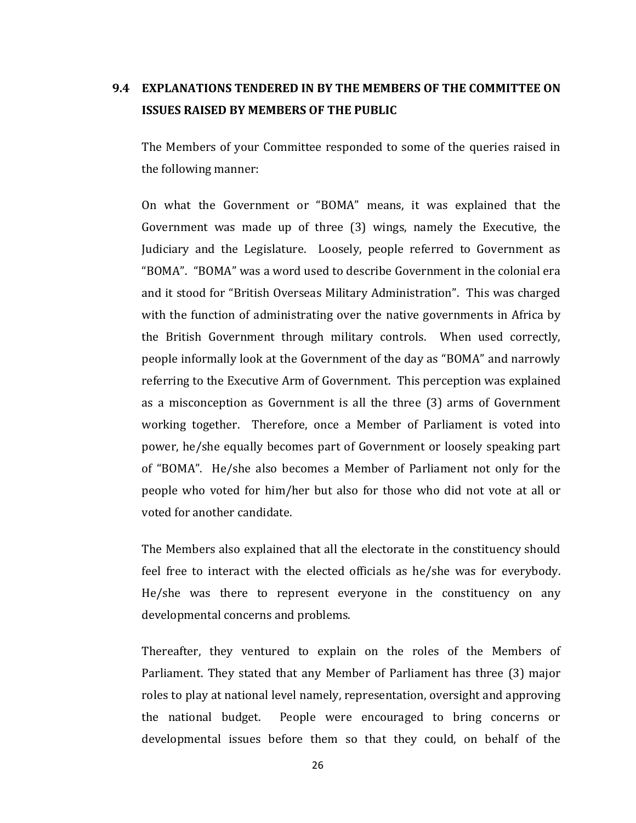## **9.4 EXPLANATIONS TENDERED IN BY THE MEMBERS OF THE COMMITTEE ON ISSUES RAISED BY MEMBERS OF THE PUBLIC**

The Members of your Committee responded to some of the queries raised in the following manner:

On what the Government or "BOMA" means, it was explained that the Government was made up of three (3) wings, namely the Executive, the Judiciary and the Legislature. Loosely, people referred to Government as "BOMA". "BOMA" was a word used to describe Government in the colonial era and it stood for "British Overseas Military Administration". This was charged with the function of administrating over the native governments in Africa by the British Government through military controls. When used correctly, people informally look at the Government of the day as "BOMA" and narrowly referring to the Executive Arm of Government. This perception was explained as a misconception as Government is all the three (3) arms of Government working together. Therefore, once a Member of Parliament is voted into power, he/she equally becomes part of Government or loosely speaking part of "BOMA". He/she also becomes a Member of Parliament not only for the people who voted for him/her but also for those who did not vote at all or voted for another candidate.

The Members also explained that all the electorate in the constituency should feel free to interact with the elected officials as he/she was for everybody. He/she was there to represent everyone in the constituency on any developmental concerns and problems.

Thereafter, they ventured to explain on the roles of the Members of Parliament. They stated that any Member of Parliament has three (3) major roles to play at national level namely, representation, oversight and approving the national budget. People were encouraged to bring concerns or developmental issues before them so that they could, on behalf of the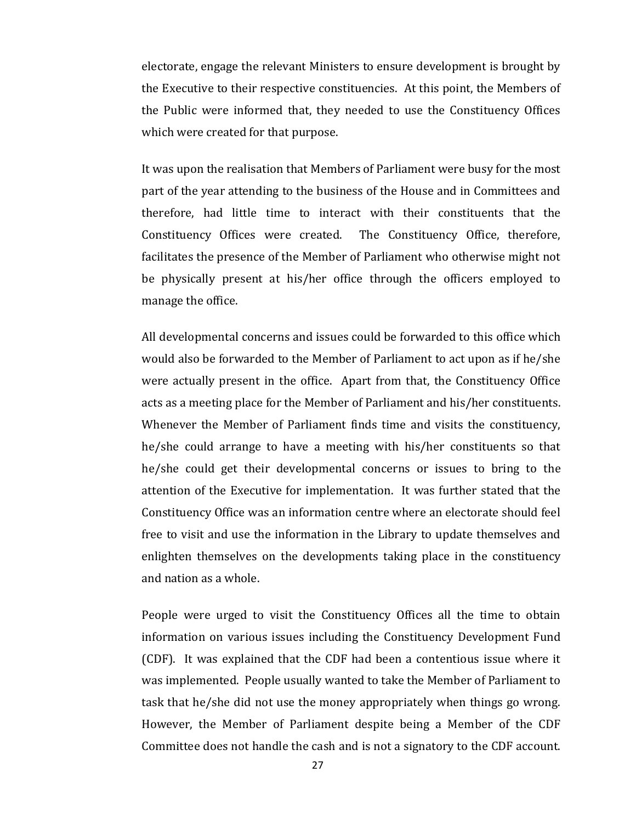electorate, engage the relevant Ministers to ensure development is brought by the Executive to their respective constituencies. At this point, the Members of the Public were informed that, they needed to use the Constituency Offices which were created for that purpose.

It was upon the realisation that Members of Parliament were busy for the most part of the year attending to the business of the House and in Committees and therefore, had little time to interact with their constituents that the Constituency Offices were created. The Constituency Office, therefore, facilitates the presence of the Member of Parliament who otherwise might not be physically present at his/her office through the officers employed to manage the office.

All developmental concerns and issues could be forwarded to this office which would also be forwarded to the Member of Parliament to act upon as if he/she were actually present in the office. Apart from that, the Constituency Office acts as a meeting place for the Member of Parliament and his/her constituents. Whenever the Member of Parliament finds time and visits the constituency, he/she could arrange to have a meeting with his/her constituents so that he/she could get their developmental concerns or issues to bring to the attention of the Executive for implementation. It was further stated that the Constituency Office was an information centre where an electorate should feel free to visit and use the information in the Library to update themselves and enlighten themselves on the developments taking place in the constituency and nation as a whole.

People were urged to visit the Constituency Offices all the time to obtain information on various issues including the Constituency Development Fund (CDF). It was explained that the CDF had been a contentious issue where it was implemented. People usually wanted to take the Member of Parliament to task that he/she did not use the money appropriately when things go wrong. However, the Member of Parliament despite being a Member of the CDF Committee does not handle the cash and is not a signatory to the CDF account.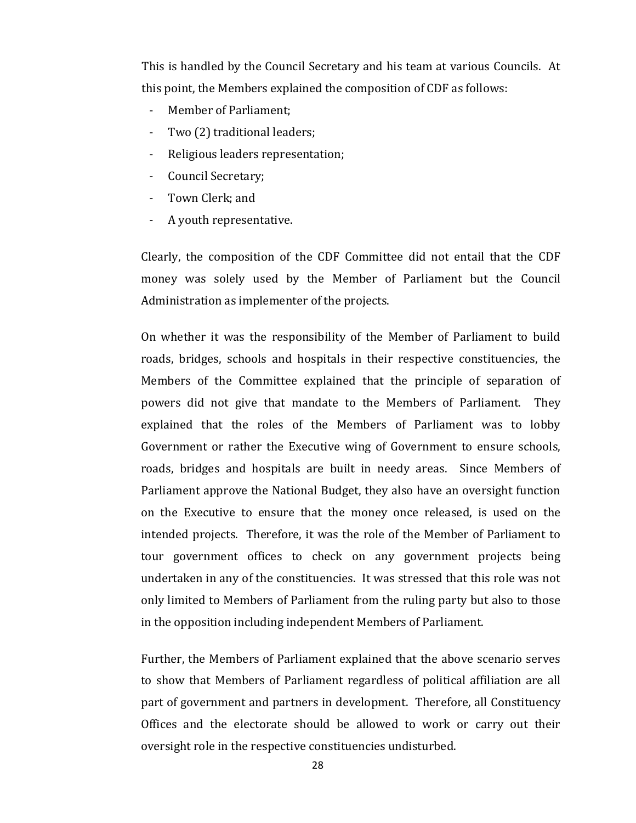This is handled by the Council Secretary and his team at various Councils. At this point, the Members explained the composition of CDF as follows:

- Member of Parliament:
- Two (2) traditional leaders;
- Religious leaders representation;
- Council Secretary;
- Town Clerk; and
- A youth representative.

Clearly, the composition of the CDF Committee did not entail that the CDF money was solely used by the Member of Parliament but the Council Administration as implementer of the projects.

On whether it was the responsibility of the Member of Parliament to build roads, bridges, schools and hospitals in their respective constituencies, the Members of the Committee explained that the principle of separation of powers did not give that mandate to the Members of Parliament. They explained that the roles of the Members of Parliament was to lobby Government or rather the Executive wing of Government to ensure schools, roads, bridges and hospitals are built in needy areas. Since Members of Parliament approve the National Budget, they also have an oversight function on the Executive to ensure that the money once released, is used on the intended projects. Therefore, it was the role of the Member of Parliament to tour government offices to check on any government projects being undertaken in any of the constituencies. It was stressed that this role was not only limited to Members of Parliament from the ruling party but also to those in the opposition including independent Members of Parliament.

Further, the Members of Parliament explained that the above scenario serves to show that Members of Parliament regardless of political affiliation are all part of government and partners in development. Therefore, all Constituency Offices and the electorate should be allowed to work or carry out their oversight role in the respective constituencies undisturbed.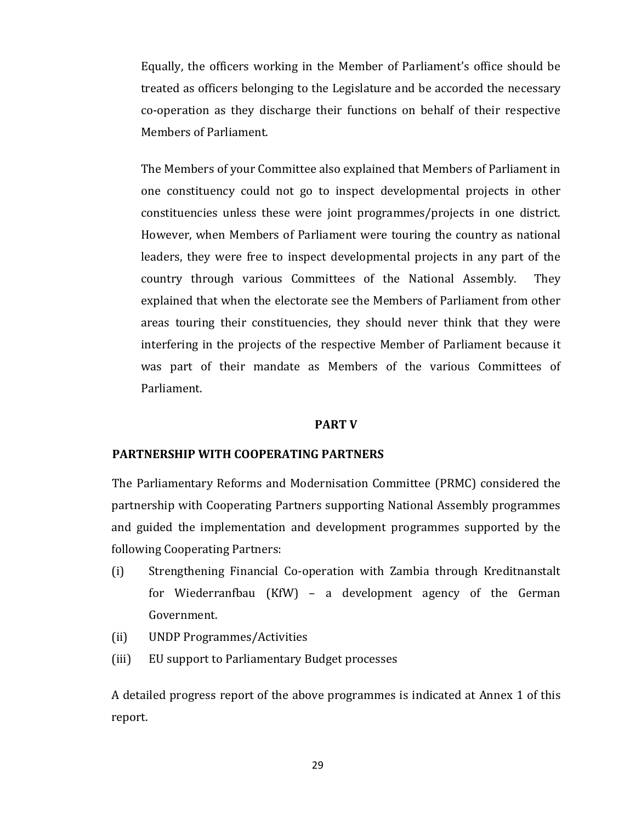Equally, the officers working in the Member of Parliament's office should be treated as officers belonging to the Legislature and be accorded the necessary co-operation as they discharge their functions on behalf of their respective Members of Parliament.

The Members of your Committee also explained that Members of Parliament in one constituency could not go to inspect developmental projects in other constituencies unless these were joint programmes/projects in one district. However, when Members of Parliament were touring the country as national leaders, they were free to inspect developmental projects in any part of the country through various Committees of the National Assembly. They explained that when the electorate see the Members of Parliament from other areas touring their constituencies, they should never think that they were interfering in the projects of the respective Member of Parliament because it was part of their mandate as Members of the various Committees of Parliament.

#### **PART V**

### **PARTNERSHIP WITH COOPERATING PARTNERS**

The Parliamentary Reforms and Modernisation Committee (PRMC) considered the partnership with Cooperating Partners supporting National Assembly programmes and guided the implementation and development programmes supported by the following Cooperating Partners:

- (i) Strengthening Financial Co-operation with Zambia through Kreditnanstalt for Wiederranfbau (KfW) – a development agency of the German Government.
- (ii) UNDP Programmes/Activities
- (iii) EU support to Parliamentary Budget processes

A detailed progress report of the above programmes is indicated at Annex 1 of this report.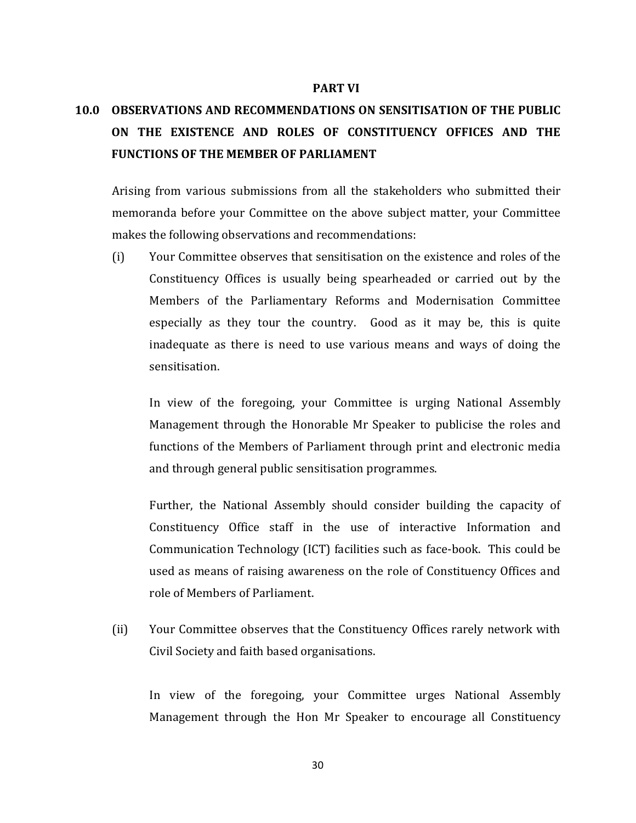#### **PART VI**

# **10.0 OBSERVATIONS AND RECOMMENDATIONS ON SENSITISATION OF THE PUBLIC ON THE EXISTENCE AND ROLES OF CONSTITUENCY OFFICES AND THE FUNCTIONS OF THE MEMBER OF PARLIAMENT**

Arising from various submissions from all the stakeholders who submitted their memoranda before your Committee on the above subject matter, your Committee makes the following observations and recommendations:

(i) Your Committee observes that sensitisation on the existence and roles of the Constituency Offices is usually being spearheaded or carried out by the Members of the Parliamentary Reforms and Modernisation Committee especially as they tour the country. Good as it may be, this is quite inadequate as there is need to use various means and ways of doing the sensitisation.

In view of the foregoing, your Committee is urging National Assembly Management through the Honorable Mr Speaker to publicise the roles and functions of the Members of Parliament through print and electronic media and through general public sensitisation programmes.

Further, the National Assembly should consider building the capacity of Constituency Office staff in the use of interactive Information and Communication Technology (ICT) facilities such as face-book. This could be used as means of raising awareness on the role of Constituency Offices and role of Members of Parliament.

(ii) Your Committee observes that the Constituency Offices rarely network with Civil Society and faith based organisations.

In view of the foregoing, your Committee urges National Assembly Management through the Hon Mr Speaker to encourage all Constituency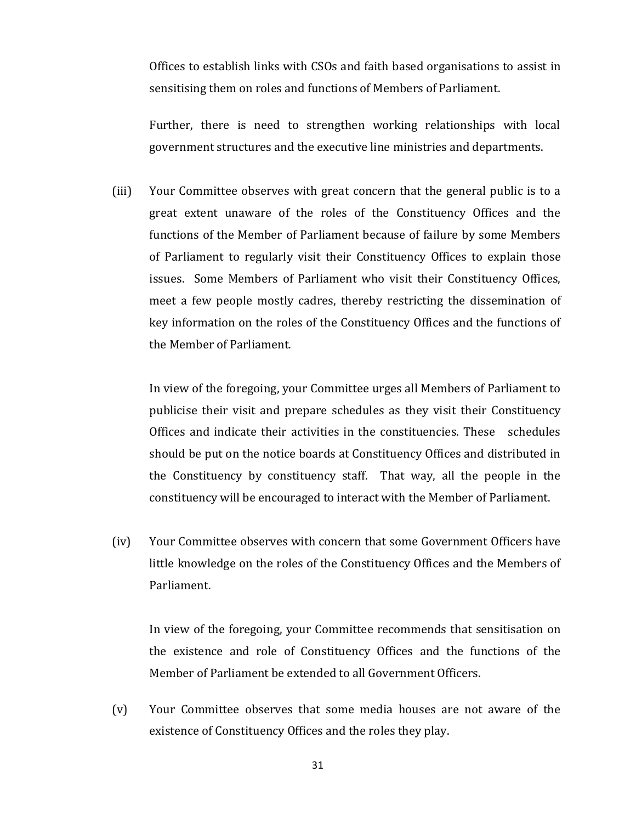Offices to establish links with CSOs and faith based organisations to assist in sensitising them on roles and functions of Members of Parliament.

Further, there is need to strengthen working relationships with local government structures and the executive line ministries and departments.

(iii) Your Committee observes with great concern that the general public is to a great extent unaware of the roles of the Constituency Offices and the functions of the Member of Parliament because of failure by some Members of Parliament to regularly visit their Constituency Offices to explain those issues. Some Members of Parliament who visit their Constituency Offices, meet a few people mostly cadres, thereby restricting the dissemination of key information on the roles of the Constituency Offices and the functions of the Member of Parliament.

In view of the foregoing, your Committee urges all Members of Parliament to publicise their visit and prepare schedules as they visit their Constituency Offices and indicate their activities in the constituencies. These schedules should be put on the notice boards at Constituency Offices and distributed in the Constituency by constituency staff. That way, all the people in the constituency will be encouraged to interact with the Member of Parliament.

(iv) Your Committee observes with concern that some Government Officers have little knowledge on the roles of the Constituency Offices and the Members of Parliament.

In view of the foregoing, your Committee recommends that sensitisation on the existence and role of Constituency Offices and the functions of the Member of Parliament be extended to all Government Officers.

(v) Your Committee observes that some media houses are not aware of the existence of Constituency Offices and the roles they play.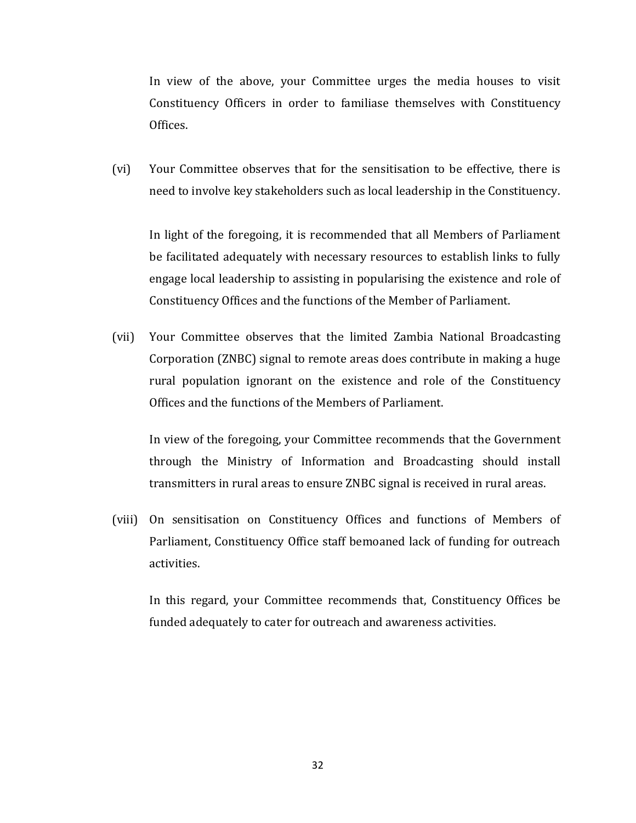In view of the above, your Committee urges the media houses to visit Constituency Officers in order to familiase themselves with Constituency Offices.

(vi) Your Committee observes that for the sensitisation to be effective, there is need to involve key stakeholders such as local leadership in the Constituency.

In light of the foregoing, it is recommended that all Members of Parliament be facilitated adequately with necessary resources to establish links to fully engage local leadership to assisting in popularising the existence and role of Constituency Offices and the functions of the Member of Parliament.

(vii) Your Committee observes that the limited Zambia National Broadcasting Corporation (ZNBC) signal to remote areas does contribute in making a huge rural population ignorant on the existence and role of the Constituency Offices and the functions of the Members of Parliament.

In view of the foregoing, your Committee recommends that the Government through the Ministry of Information and Broadcasting should install transmitters in rural areas to ensure ZNBC signal is received in rural areas.

(viii) On sensitisation on Constituency Offices and functions of Members of Parliament, Constituency Office staff bemoaned lack of funding for outreach activities.

In this regard, your Committee recommends that, Constituency Offices be funded adequately to cater for outreach and awareness activities.

32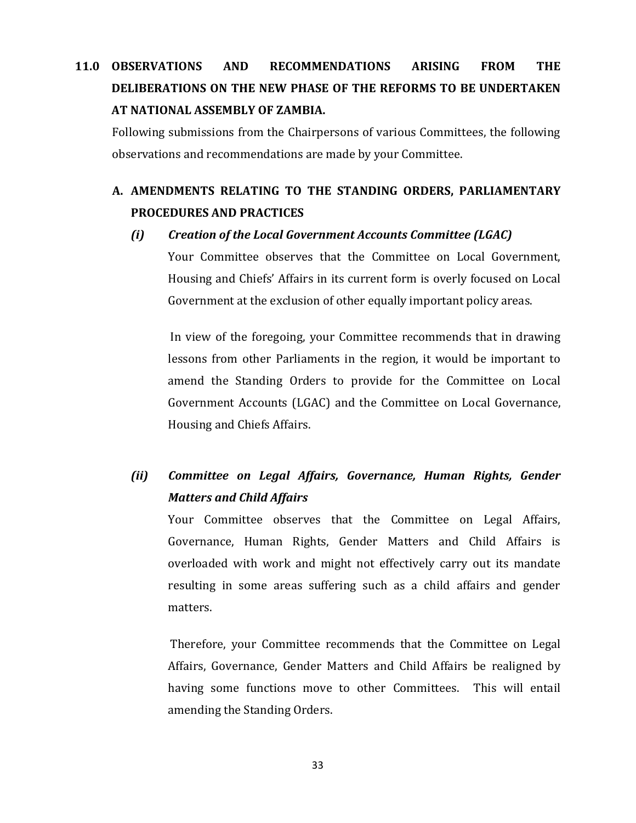# **11.0 OBSERVATIONS AND RECOMMENDATIONS ARISING FROM THE DELIBERATIONS ON THE NEW PHASE OF THE REFORMS TO BE UNDERTAKEN AT NATIONAL ASSEMBLY OF ZAMBIA.**

Following submissions from the Chairpersons of various Committees, the following observations and recommendations are made by your Committee.

## **A. AMENDMENTS RELATING TO THE STANDING ORDERS, PARLIAMENTARY PROCEDURES AND PRACTICES**

### *(i) Creation of the Local Government Accounts Committee (LGAC)*

Your Committee observes that the Committee on Local Government, Housing and Chiefs' Affairs in its current form is overly focused on Local Government at the exclusion of other equally important policy areas.

In view of the foregoing, your Committee recommends that in drawing lessons from other Parliaments in the region, it would be important to amend the Standing Orders to provide for the Committee on Local Government Accounts (LGAC) and the Committee on Local Governance, Housing and Chiefs Affairs.

## *(ii) Committee on Legal Affairs, Governance, Human Rights, Gender Matters and Child Affairs*

Your Committee observes that the Committee on Legal Affairs, Governance, Human Rights, Gender Matters and Child Affairs is overloaded with work and might not effectively carry out its mandate resulting in some areas suffering such as a child affairs and gender matters.

Therefore, your Committee recommends that the Committee on Legal Affairs, Governance, Gender Matters and Child Affairs be realigned by having some functions move to other Committees. This will entail amending the Standing Orders.

33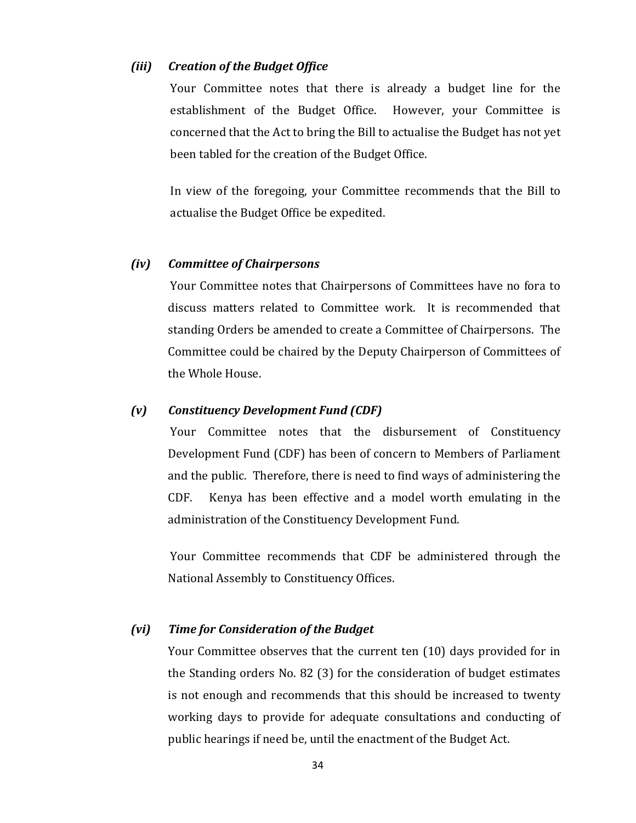#### *(iii) Creation of the Budget Office*

Your Committee notes that there is already a budget line for the establishment of the Budget Office. However, your Committee is concerned that the Act to bring the Bill to actualise the Budget has not yet been tabled for the creation of the Budget Office.

In view of the foregoing, your Committee recommends that the Bill to actualise the Budget Office be expedited.

#### *(iv) Committee of Chairpersons*

Your Committee notes that Chairpersons of Committees have no fora to discuss matters related to Committee work. It is recommended that standing Orders be amended to create a Committee of Chairpersons. The Committee could be chaired by the Deputy Chairperson of Committees of the Whole House.

#### *(v) Constituency Development Fund (CDF)*

Your Committee notes that the disbursement of Constituency Development Fund (CDF) has been of concern to Members of Parliament and the public. Therefore, there is need to find ways of administering the CDF. Kenya has been effective and a model worth emulating in the administration of the Constituency Development Fund.

Your Committee recommends that CDF be administered through the National Assembly to Constituency Offices.

#### *(vi) Time for Consideration of the Budget*

Your Committee observes that the current ten (10) days provided for in the Standing orders No. 82 (3) for the consideration of budget estimates is not enough and recommends that this should be increased to twenty working days to provide for adequate consultations and conducting of public hearings if need be, until the enactment of the Budget Act.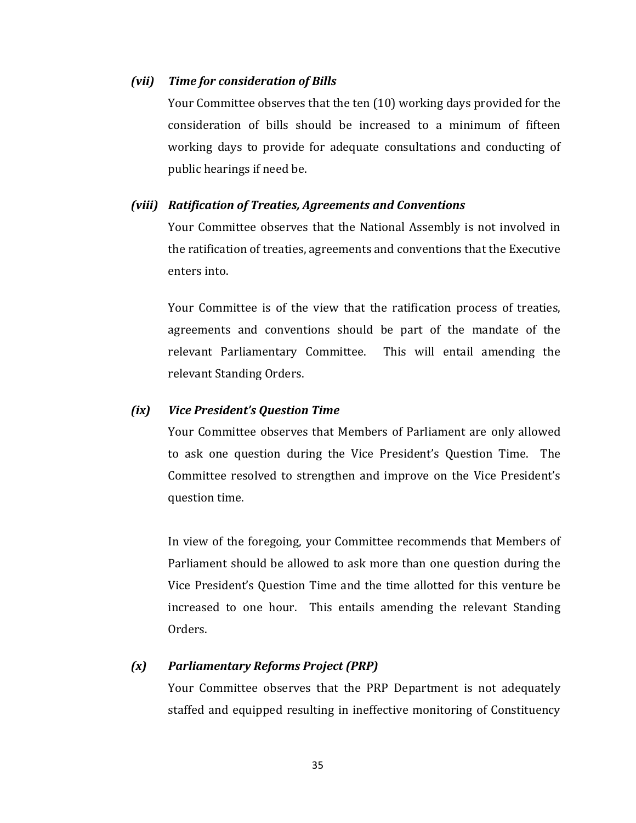#### *(vii) Time for consideration of Bills*

Your Committee observes that the ten (10) working days provided for the consideration of bills should be increased to a minimum of fifteen working days to provide for adequate consultations and conducting of public hearings if need be.

#### *(viii) Ratification of Treaties, Agreements and Conventions*

Your Committee observes that the National Assembly is not involved in the ratification of treaties, agreements and conventions that the Executive enters into.

Your Committee is of the view that the ratification process of treaties, agreements and conventions should be part of the mandate of the relevant Parliamentary Committee. This will entail amending the relevant Standing Orders.

#### *(ix) Vice President's Question Time*

Your Committee observes that Members of Parliament are only allowed to ask one question during the Vice President's Question Time. The Committee resolved to strengthen and improve on the Vice President's question time.

In view of the foregoing, your Committee recommends that Members of Parliament should be allowed to ask more than one question during the Vice President's Question Time and the time allotted for this venture be increased to one hour. This entails amending the relevant Standing Orders.

### *(x) Parliamentary Reforms Project (PRP)*

Your Committee observes that the PRP Department is not adequately staffed and equipped resulting in ineffective monitoring of Constituency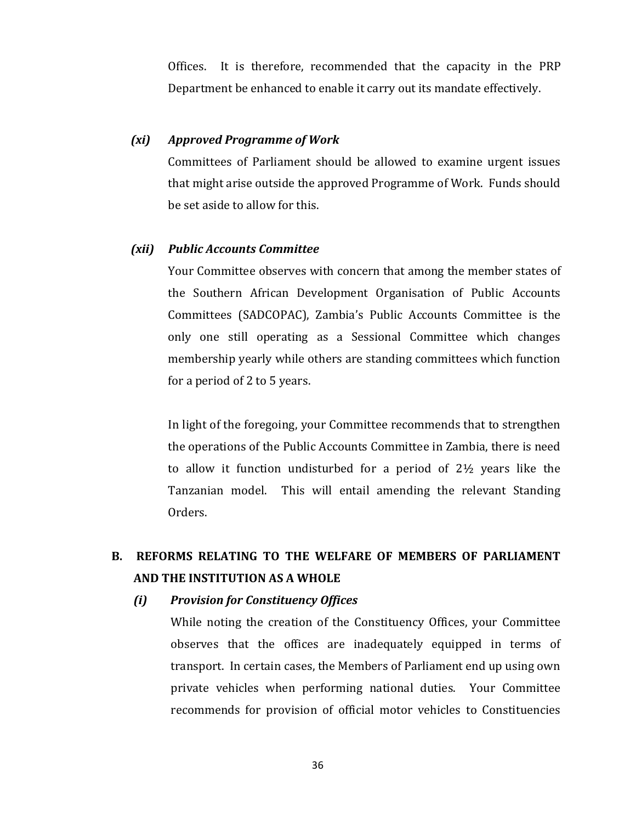Offices. It is therefore, recommended that the capacity in the PRP Department be enhanced to enable it carry out its mandate effectively.

#### *(xi) Approved Programme of Work*

Committees of Parliament should be allowed to examine urgent issues that might arise outside the approved Programme of Work. Funds should be set aside to allow for this.

#### *(xii) Public Accounts Committee*

Your Committee observes with concern that among the member states of the Southern African Development Organisation of Public Accounts Committees (SADCOPAC), Zambia's Public Accounts Committee is the only one still operating as a Sessional Committee which changes membership yearly while others are standing committees which function for a period of 2 to 5 years.

In light of the foregoing, your Committee recommends that to strengthen the operations of the Public Accounts Committee in Zambia, there is need to allow it function undisturbed for a period of 2½ years like the Tanzanian model. This will entail amending the relevant Standing Orders.

## **B. REFORMS RELATING TO THE WELFARE OF MEMBERS OF PARLIAMENT AND THE INSTITUTION AS A WHOLE**

*(i) Provision for Constituency Offices*

While noting the creation of the Constituency Offices, your Committee observes that the offices are inadequately equipped in terms of transport. In certain cases, the Members of Parliament end up using own private vehicles when performing national duties. Your Committee recommends for provision of official motor vehicles to Constituencies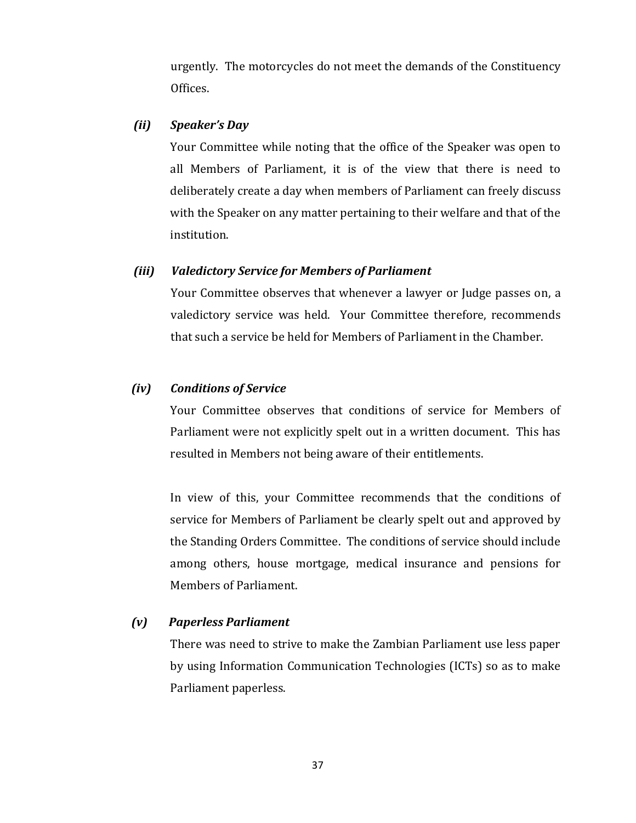urgently. The motorcycles do not meet the demands of the Constituency Offices.

## *(ii) Speaker's Day*

Your Committee while noting that the office of the Speaker was open to all Members of Parliament, it is of the view that there is need to deliberately create a day when members of Parliament can freely discuss with the Speaker on any matter pertaining to their welfare and that of the institution.

### *(iii) Valedictory Service for Members of Parliament*

Your Committee observes that whenever a lawyer or Judge passes on, a valedictory service was held. Your Committee therefore, recommends that such a service be held for Members of Parliament in the Chamber.

## *(iv) Conditions of Service*

Your Committee observes that conditions of service for Members of Parliament were not explicitly spelt out in a written document. This has resulted in Members not being aware of their entitlements.

In view of this, your Committee recommends that the conditions of service for Members of Parliament be clearly spelt out and approved by the Standing Orders Committee. The conditions of service should include among others, house mortgage, medical insurance and pensions for Members of Parliament.

### *(v) Paperless Parliament*

There was need to strive to make the Zambian Parliament use less paper by using Information Communication Technologies (ICTs) so as to make Parliament paperless.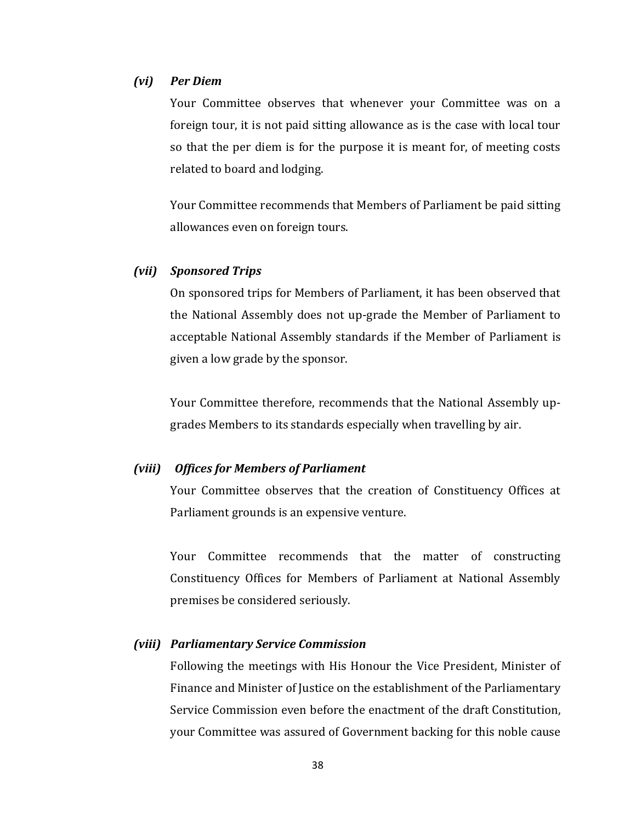### *(vi) Per Diem*

Your Committee observes that whenever your Committee was on a foreign tour, it is not paid sitting allowance as is the case with local tour so that the per diem is for the purpose it is meant for, of meeting costs related to board and lodging.

Your Committee recommends that Members of Parliament be paid sitting allowances even on foreign tours.

#### *(vii) Sponsored Trips*

On sponsored trips for Members of Parliament, it has been observed that the National Assembly does not up-grade the Member of Parliament to acceptable National Assembly standards if the Member of Parliament is given a low grade by the sponsor.

Your Committee therefore, recommends that the National Assembly upgrades Members to its standards especially when travelling by air.

## *(viii) Offices for Members of Parliament*

Your Committee observes that the creation of Constituency Offices at Parliament grounds is an expensive venture.

Your Committee recommends that the matter of constructing Constituency Offices for Members of Parliament at National Assembly premises be considered seriously.

#### *(viii) Parliamentary Service Commission*

Following the meetings with His Honour the Vice President, Minister of Finance and Minister of Justice on the establishment of the Parliamentary Service Commission even before the enactment of the draft Constitution, your Committee was assured of Government backing for this noble cause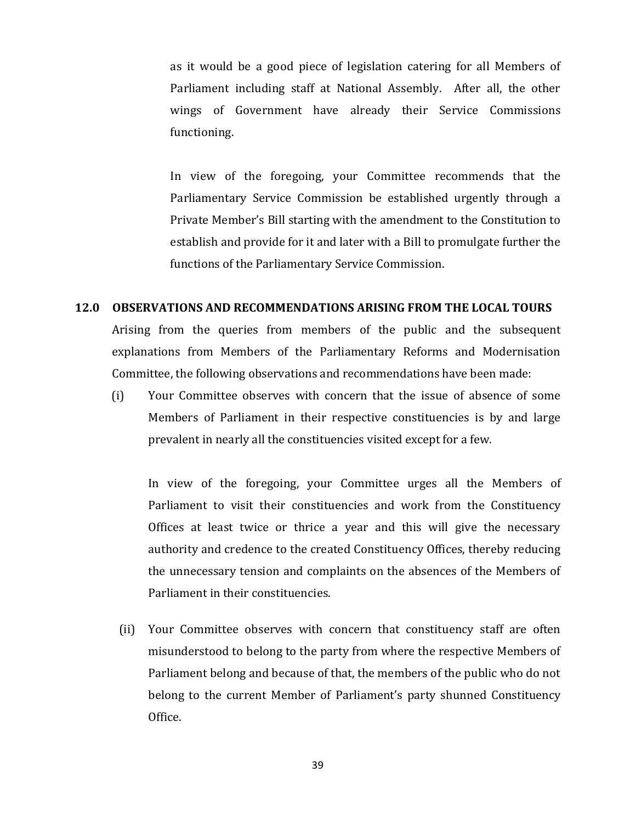as it would be a good piece of legislation catering for all Members of Parliament including staff at National Assembly. After all, the other wings of Government have already their Service Commissions functioning.

In view of the foregoing, your Committee recommends that the Parliamentary Service Commission be established urgently through a Private Member's Bill starting with the amendment to the Constitution to establish and provide for it and later with a Bill to promulgate further the functions of the Parliamentary Service Commission.

#### **12.0 OBSERVATIONS AND RECOMMENDATIONS ARISING FROM THE LOCAL TOURS**

Arising from the queries from members of the public and the subsequent explanations from Members of the Parliamentary Reforms and Modernisation Committee, the following observations and recommendations have been made:

(i) Your Committee observes with concern that the issue of absence of some Members of Parliament in their respective constituencies is by and large prevalent in nearly all the constituencies visited except for a few.

In view of the foregoing, your Committee urges all the Members of Parliament to visit their constituencies and work from the Constituency Offices at least twice or thrice a year and this will give the necessary authority and credence to the created Constituency Offices, thereby reducing the unnecessary tension and complaints on the absences of the Members of Parliament in their constituencies.

(ii) Your Committee observes with concern that constituency staff are often misunderstood to belong to the party from where the respective Members of Parliament belong and because of that, the members of the public who do not belong to the current Member of Parliament's party shunned Constituency Office.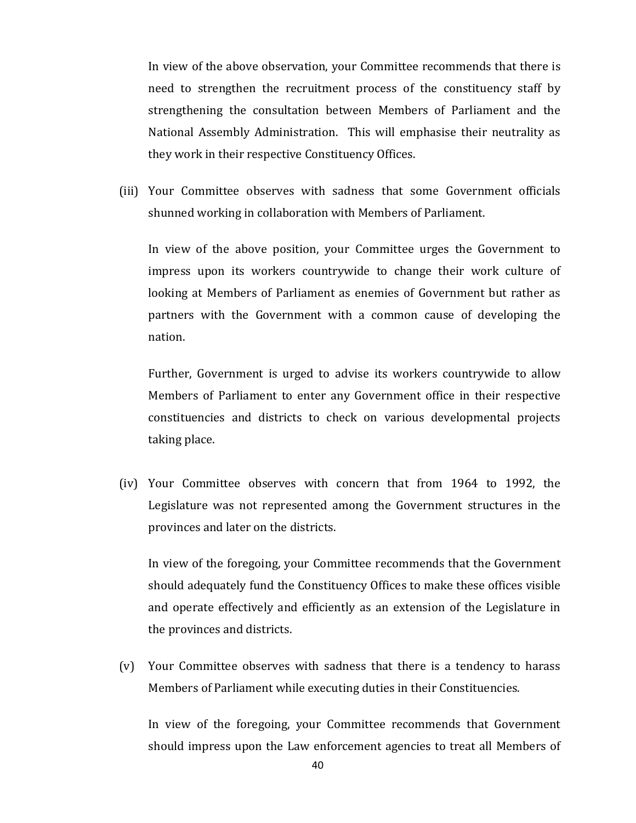In view of the above observation, your Committee recommends that there is need to strengthen the recruitment process of the constituency staff by strengthening the consultation between Members of Parliament and the National Assembly Administration. This will emphasise their neutrality as they work in their respective Constituency Offices.

(iii) Your Committee observes with sadness that some Government officials shunned working in collaboration with Members of Parliament.

In view of the above position, your Committee urges the Government to impress upon its workers countrywide to change their work culture of looking at Members of Parliament as enemies of Government but rather as partners with the Government with a common cause of developing the nation.

Further, Government is urged to advise its workers countrywide to allow Members of Parliament to enter any Government office in their respective constituencies and districts to check on various developmental projects taking place.

(iv) Your Committee observes with concern that from 1964 to 1992, the Legislature was not represented among the Government structures in the provinces and later on the districts.

In view of the foregoing, your Committee recommends that the Government should adequately fund the Constituency Offices to make these offices visible and operate effectively and efficiently as an extension of the Legislature in the provinces and districts.

(v) Your Committee observes with sadness that there is a tendency to harass Members of Parliament while executing duties in their Constituencies.

In view of the foregoing, your Committee recommends that Government should impress upon the Law enforcement agencies to treat all Members of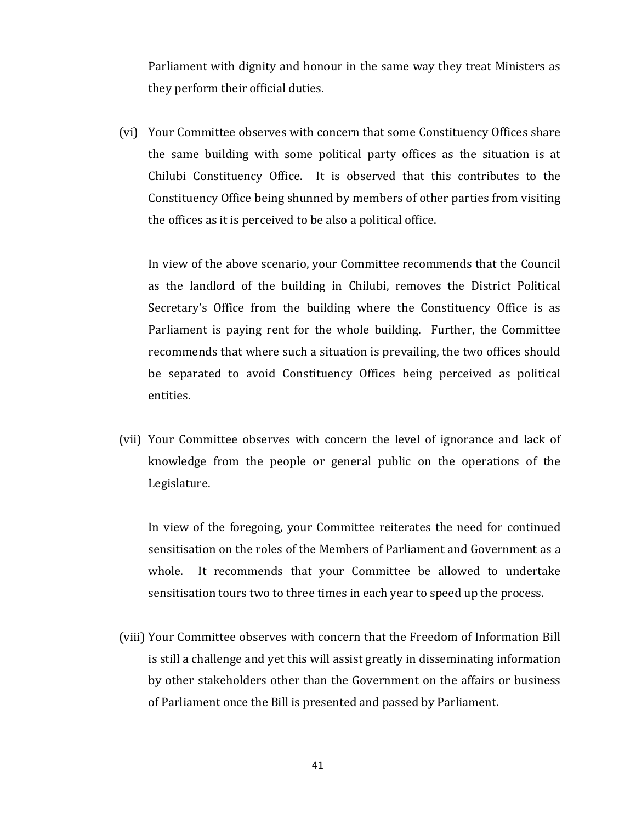Parliament with dignity and honour in the same way they treat Ministers as they perform their official duties.

(vi) Your Committee observes with concern that some Constituency Offices share the same building with some political party offices as the situation is at Chilubi Constituency Office. It is observed that this contributes to the Constituency Office being shunned by members of other parties from visiting the offices as it is perceived to be also a political office.

In view of the above scenario, your Committee recommends that the Council as the landlord of the building in Chilubi, removes the District Political Secretary's Office from the building where the Constituency Office is as Parliament is paying rent for the whole building. Further, the Committee recommends that where such a situation is prevailing, the two offices should be separated to avoid Constituency Offices being perceived as political entities.

(vii) Your Committee observes with concern the level of ignorance and lack of knowledge from the people or general public on the operations of the Legislature.

In view of the foregoing, your Committee reiterates the need for continued sensitisation on the roles of the Members of Parliament and Government as a whole. It recommends that your Committee be allowed to undertake sensitisation tours two to three times in each year to speed up the process.

(viii) Your Committee observes with concern that the Freedom of Information Bill is still a challenge and yet this will assist greatly in disseminating information by other stakeholders other than the Government on the affairs or business of Parliament once the Bill is presented and passed by Parliament.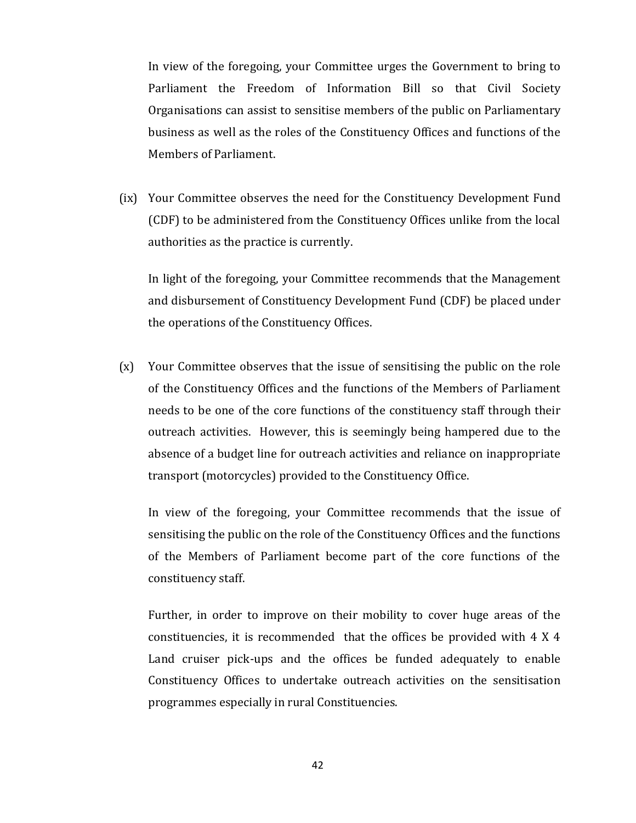In view of the foregoing, your Committee urges the Government to bring to Parliament the Freedom of Information Bill so that Civil Society Organisations can assist to sensitise members of the public on Parliamentary business as well as the roles of the Constituency Offices and functions of the Members of Parliament.

(ix) Your Committee observes the need for the Constituency Development Fund (CDF) to be administered from the Constituency Offices unlike from the local authorities as the practice is currently.

In light of the foregoing, your Committee recommends that the Management and disbursement of Constituency Development Fund (CDF) be placed under the operations of the Constituency Offices.

(x) Your Committee observes that the issue of sensitising the public on the role of the Constituency Offices and the functions of the Members of Parliament needs to be one of the core functions of the constituency staff through their outreach activities. However, this is seemingly being hampered due to the absence of a budget line for outreach activities and reliance on inappropriate transport (motorcycles) provided to the Constituency Office.

In view of the foregoing, your Committee recommends that the issue of sensitising the public on the role of the Constituency Offices and the functions of the Members of Parliament become part of the core functions of the constituency staff.

Further, in order to improve on their mobility to cover huge areas of the constituencies, it is recommended that the offices be provided with 4 X 4 Land cruiser pick-ups and the offices be funded adequately to enable Constituency Offices to undertake outreach activities on the sensitisation programmes especially in rural Constituencies.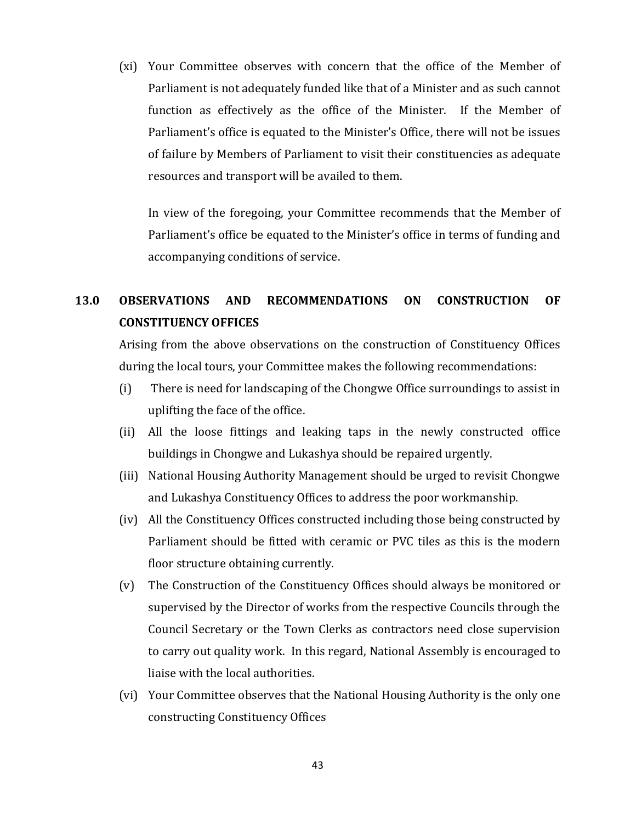(xi) Your Committee observes with concern that the office of the Member of Parliament is not adequately funded like that of a Minister and as such cannot function as effectively as the office of the Minister. If the Member of Parliament's office is equated to the Minister's Office, there will not be issues of failure by Members of Parliament to visit their constituencies as adequate resources and transport will be availed to them.

In view of the foregoing, your Committee recommends that the Member of Parliament's office be equated to the Minister's office in terms of funding and accompanying conditions of service.

## **13.0 OBSERVATIONS AND RECOMMENDATIONS ON CONSTRUCTION OF CONSTITUENCY OFFICES**

Arising from the above observations on the construction of Constituency Offices during the local tours, your Committee makes the following recommendations:

- (i) There is need for landscaping of the Chongwe Office surroundings to assist in uplifting the face of the office.
- (ii) All the loose fittings and leaking taps in the newly constructed office buildings in Chongwe and Lukashya should be repaired urgently.
- (iii) National Housing Authority Management should be urged to revisit Chongwe and Lukashya Constituency Offices to address the poor workmanship.
- (iv) All the Constituency Offices constructed including those being constructed by Parliament should be fitted with ceramic or PVC tiles as this is the modern floor structure obtaining currently.
- (v) The Construction of the Constituency Offices should always be monitored or supervised by the Director of works from the respective Councils through the Council Secretary or the Town Clerks as contractors need close supervision to carry out quality work. In this regard, National Assembly is encouraged to liaise with the local authorities.
- (vi) Your Committee observes that the National Housing Authority is the only one constructing Constituency Offices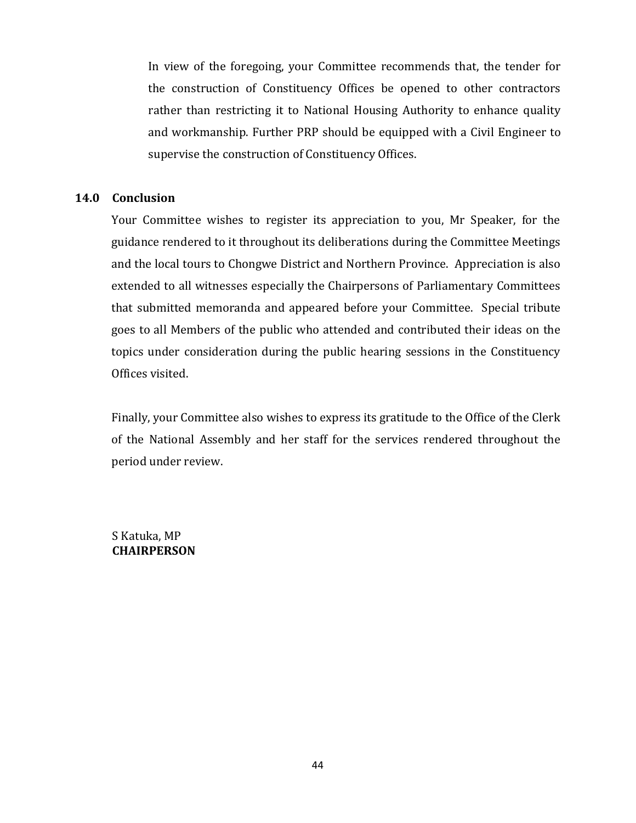In view of the foregoing, your Committee recommends that, the tender for the construction of Constituency Offices be opened to other contractors rather than restricting it to National Housing Authority to enhance quality and workmanship. Further PRP should be equipped with a Civil Engineer to supervise the construction of Constituency Offices.

## **14.0 Conclusion**

Your Committee wishes to register its appreciation to you, Mr Speaker, for the guidance rendered to it throughout its deliberations during the Committee Meetings and the local tours to Chongwe District and Northern Province. Appreciation is also extended to all witnesses especially the Chairpersons of Parliamentary Committees that submitted memoranda and appeared before your Committee. Special tribute goes to all Members of the public who attended and contributed their ideas on the topics under consideration during the public hearing sessions in the Constituency Offices visited.

Finally, your Committee also wishes to express its gratitude to the Office of the Clerk of the National Assembly and her staff for the services rendered throughout the period under review.

S Katuka, MP **CHAIRPERSON**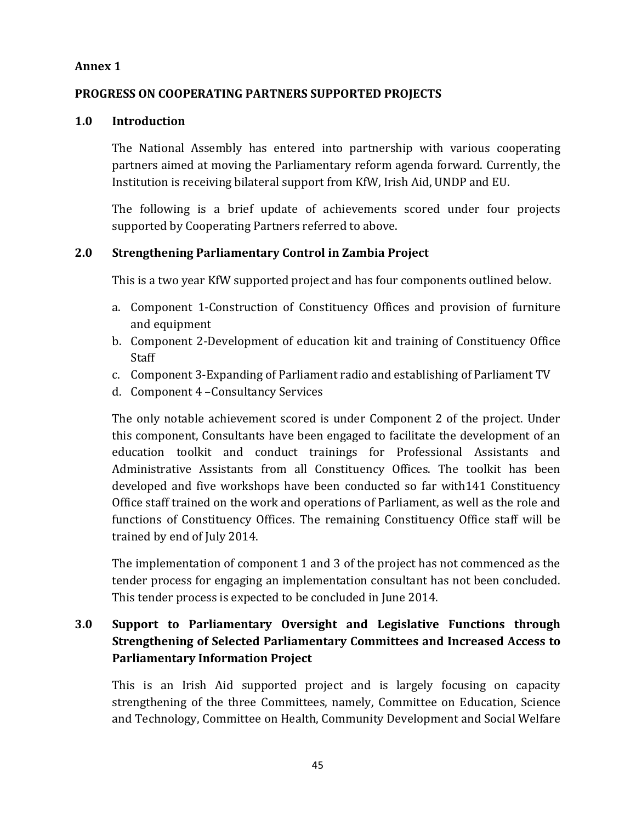## **Annex 1**

## **PROGRESS ON COOPERATING PARTNERS SUPPORTED PROJECTS**

## **1.0 Introduction**

The National Assembly has entered into partnership with various cooperating partners aimed at moving the Parliamentary reform agenda forward. Currently, the Institution is receiving bilateral support from KfW, Irish Aid, UNDP and EU.

The following is a brief update of achievements scored under four projects supported by Cooperating Partners referred to above.

## **2.0 Strengthening Parliamentary Control in Zambia Project**

This is a two year KfW supported project and has four components outlined below.

- a. Component 1-Construction of Constituency Offices and provision of furniture and equipment
- b. Component 2-Development of education kit and training of Constituency Office Staff
- c. Component 3-Expanding of Parliament radio and establishing of Parliament TV
- d. Component 4 –Consultancy Services

The only notable achievement scored is under Component 2 of the project. Under this component, Consultants have been engaged to facilitate the development of an education toolkit and conduct trainings for Professional Assistants and Administrative Assistants from all Constituency Offices. The toolkit has been developed and five workshops have been conducted so far with141 Constituency Office staff trained on the work and operations of Parliament, as well as the role and functions of Constituency Offices. The remaining Constituency Office staff will be trained by end of July 2014.

The implementation of component 1 and 3 of the project has not commenced as the tender process for engaging an implementation consultant has not been concluded. This tender process is expected to be concluded in June 2014.

## **3.0 Support to Parliamentary Oversight and Legislative Functions through Strengthening of Selected Parliamentary Committees and Increased Access to Parliamentary Information Project**

This is an Irish Aid supported project and is largely focusing on capacity strengthening of the three Committees, namely, Committee on Education, Science and Technology, Committee on Health, Community Development and Social Welfare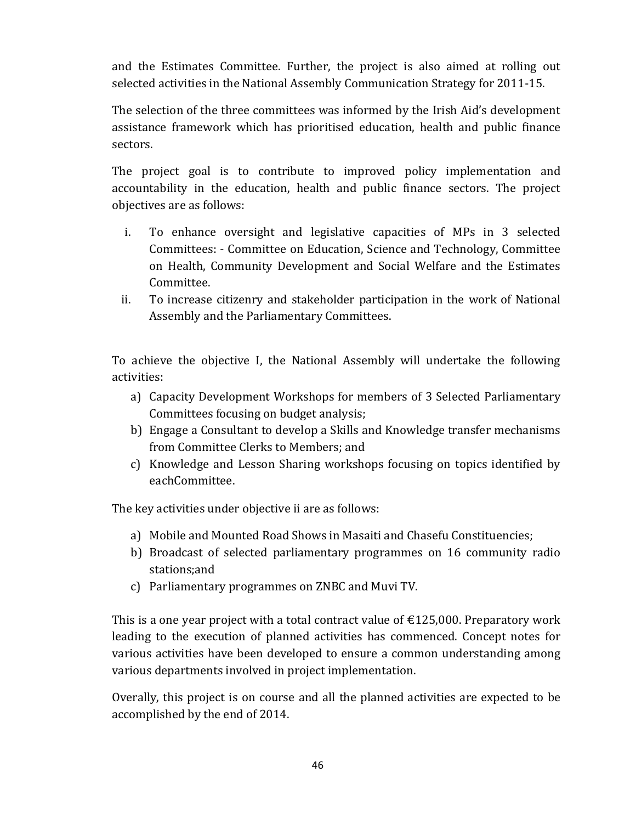and the Estimates Committee. Further, the project is also aimed at rolling out selected activities in the National Assembly Communication Strategy for 2011-15.

The selection of the three committees was informed by the Irish Aid's development assistance framework which has prioritised education, health and public finance sectors.

The project goal is to contribute to improved policy implementation and accountability in the education, health and public finance sectors. The project objectives are as follows:

- i. To enhance oversight and legislative capacities of MPs in 3 selected Committees: - Committee on Education, Science and Technology, Committee on Health, Community Development and Social Welfare and the Estimates Committee.
- ii. To increase citizenry and stakeholder participation in the work of National Assembly and the Parliamentary Committees.

To achieve the objective I, the National Assembly will undertake the following activities:

- a) Capacity Development Workshops for members of 3 Selected Parliamentary Committees focusing on budget analysis;
- b) Engage a Consultant to develop a Skills and Knowledge transfer mechanisms from Committee Clerks to Members; and
- c) Knowledge and Lesson Sharing workshops focusing on topics identified by eachCommittee.

The key activities under objective ii are as follows:

- a) Mobile and Mounted Road Shows in Masaiti and Chasefu Constituencies;
- b) Broadcast of selected parliamentary programmes on 16 community radio stations;and
- c) Parliamentary programmes on ZNBC and Muvi TV.

This is a one year project with a total contract value of  $\epsilon$ 125,000. Preparatory work leading to the execution of planned activities has commenced. Concept notes for various activities have been developed to ensure a common understanding among various departments involved in project implementation.

Overally, this project is on course and all the planned activities are expected to be accomplished by the end of 2014.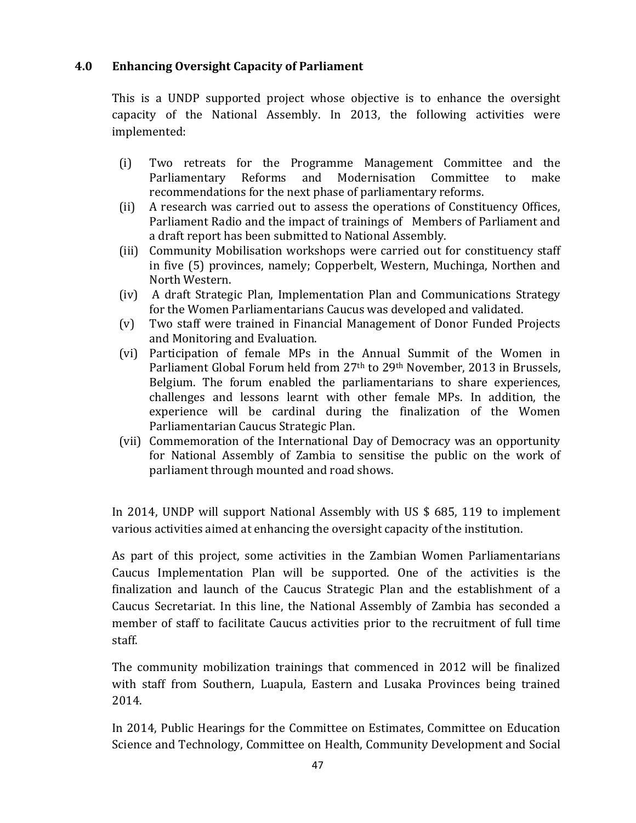## **4.0 Enhancing Oversight Capacity of Parliament**

This is a UNDP supported project whose objective is to enhance the oversight capacity of the National Assembly. In 2013, the following activities were implemented:

- (i) Two retreats for the Programme Management Committee and the Parliamentary Reforms and Modernisation Committee to make recommendations for the next phase of parliamentary reforms.
- (ii) A research was carried out to assess the operations of Constituency Offices, Parliament Radio and the impact of trainings of Members of Parliament and a draft report has been submitted to National Assembly.
- (iii) Community Mobilisation workshops were carried out for constituency staff in five (5) provinces, namely; Copperbelt, Western, Muchinga, Northen and North Western.
- (iv) A draft Strategic Plan, Implementation Plan and Communications Strategy for the Women Parliamentarians Caucus was developed and validated.
- (v) Two staff were trained in Financial Management of Donor Funded Projects and Monitoring and Evaluation.
- (vi) Participation of female MPs in the Annual Summit of the Women in Parliament Global Forum held from 27<sup>th</sup> to 29<sup>th</sup> November, 2013 in Brussels, Belgium. The forum enabled the parliamentarians to share experiences, challenges and lessons learnt with other female MPs. In addition, the experience will be cardinal during the finalization of the Women Parliamentarian Caucus Strategic Plan.
- (vii) Commemoration of the International Day of Democracy was an opportunity for National Assembly of Zambia to sensitise the public on the work of parliament through mounted and road shows.

In 2014, UNDP will support National Assembly with US \$ 685, 119 to implement various activities aimed at enhancing the oversight capacity of the institution.

As part of this project, some activities in the Zambian Women Parliamentarians Caucus Implementation Plan will be supported. One of the activities is the finalization and launch of the Caucus Strategic Plan and the establishment of a Caucus Secretariat. In this line, the National Assembly of Zambia has seconded a member of staff to facilitate Caucus activities prior to the recruitment of full time staff.

The community mobilization trainings that commenced in 2012 will be finalized with staff from Southern, Luapula, Eastern and Lusaka Provinces being trained 2014.

In 2014, Public Hearings for the Committee on Estimates, Committee on Education Science and Technology, Committee on Health, Community Development and Social